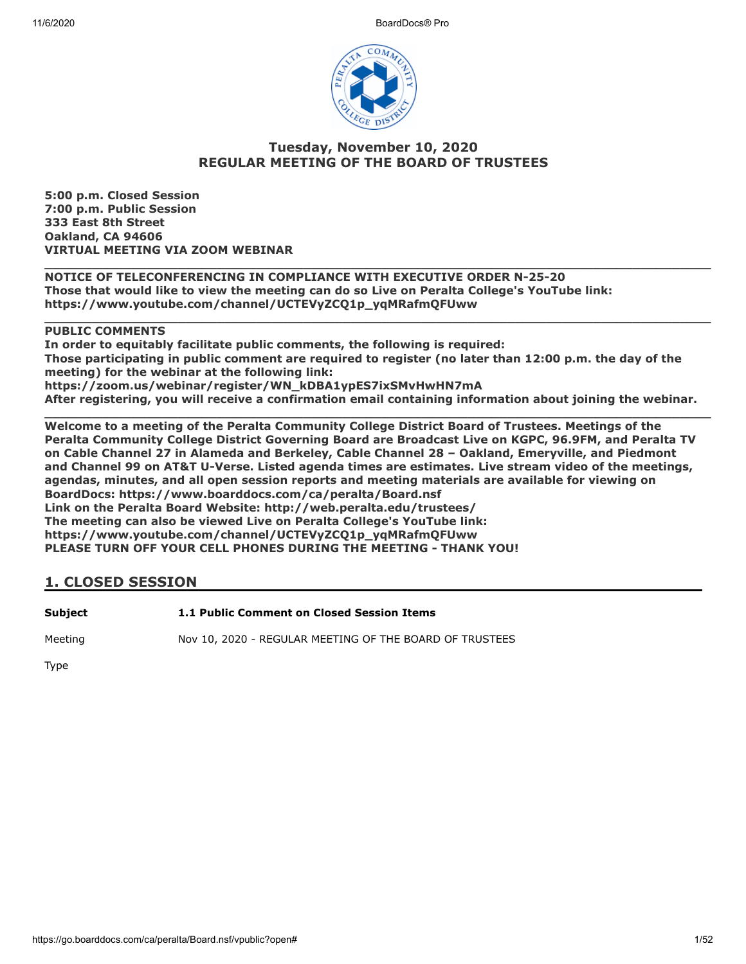

### **Tuesday, November 10, 2020 REGULAR MEETING OF THE BOARD OF TRUSTEES**

**5:00 p.m. Closed Session 7:00 p.m. Public Session 333 East 8th Street Oakland, CA 94606 VIRTUAL MEETING VIA ZOOM WEBINAR**

**\_\_\_\_\_\_\_\_\_\_\_\_\_\_\_\_\_\_\_\_\_\_\_\_\_\_\_\_\_\_\_\_\_\_\_\_\_\_\_\_\_\_\_\_\_\_\_\_\_\_\_\_\_\_\_\_\_\_\_\_\_\_\_\_\_\_\_\_\_\_\_\_\_\_\_\_\_\_\_\_\_\_\_\_\_ NOTICE OF TELECONFERENCING IN COMPLIANCE WITH EXECUTIVE ORDER N-25-20 Those that would like to view the meeting can do so Live on Peralta College's YouTube link: https://www.youtube.com/channel/UCTEVyZCQ1p\_yqMRafmQFUww**

#### **PUBLIC COMMENTS**

**In order to equitably facilitate public comments, the following is required: Those participating in public comment are required to register (no later than 12:00 p.m. the day of the meeting) for the webinar at the following link: https://zoom.us/webinar/register/WN\_kDBA1ypES7ixSMvHwHN7mA After registering, you will receive a confirmation email containing information about joining the webinar.**

**\_\_\_\_\_\_\_\_\_\_\_\_\_\_\_\_\_\_\_\_\_\_\_\_\_\_\_\_\_\_\_\_\_\_\_\_\_\_\_\_\_\_\_\_\_\_\_\_\_\_\_\_\_\_\_\_\_\_\_\_\_\_\_\_\_\_\_\_\_\_\_\_\_\_\_\_\_\_\_\_\_\_\_\_\_**

**\_\_\_\_\_\_\_\_\_\_\_\_\_\_\_\_\_\_\_\_\_\_\_\_\_\_\_\_\_\_\_\_\_\_\_\_\_\_\_\_\_\_\_\_\_\_\_\_\_\_\_\_\_\_\_\_\_\_\_\_\_\_\_\_\_\_\_\_\_\_\_\_\_\_\_\_\_\_\_\_\_\_\_\_\_ Welcome to a meeting of the Peralta Community College District Board of Trustees. Meetings of the Peralta Community College District Governing Board are Broadcast Live on KGPC, 96.9FM, and Peralta TV on Cable Channel 27 in Alameda and Berkeley, Cable Channel 28 – Oakland, Emeryville, and Piedmont and Channel 99 on AT&T U-Verse. Listed agenda times are estimates. Live stream video of the meetings, agendas, minutes, and all open session reports and meeting materials are available for viewing on BoardDocs: https://www.boarddocs.com/ca/peralta/Board.nsf Link on the Peralta Board Website: http://web.peralta.edu/trustees/ The meeting can also be viewed Live on Peralta College's YouTube link: https://www.youtube.com/channel/UCTEVyZCQ1p\_yqMRafmQFUww PLEASE TURN OFF YOUR CELL PHONES DURING THE MEETING - THANK YOU!**

#### **1. CLOSED SESSION**

**Subject 1.1 Public Comment on Closed Session Items**

Meeting Nov 10, 2020 - REGULAR MEETING OF THE BOARD OF TRUSTEES

Type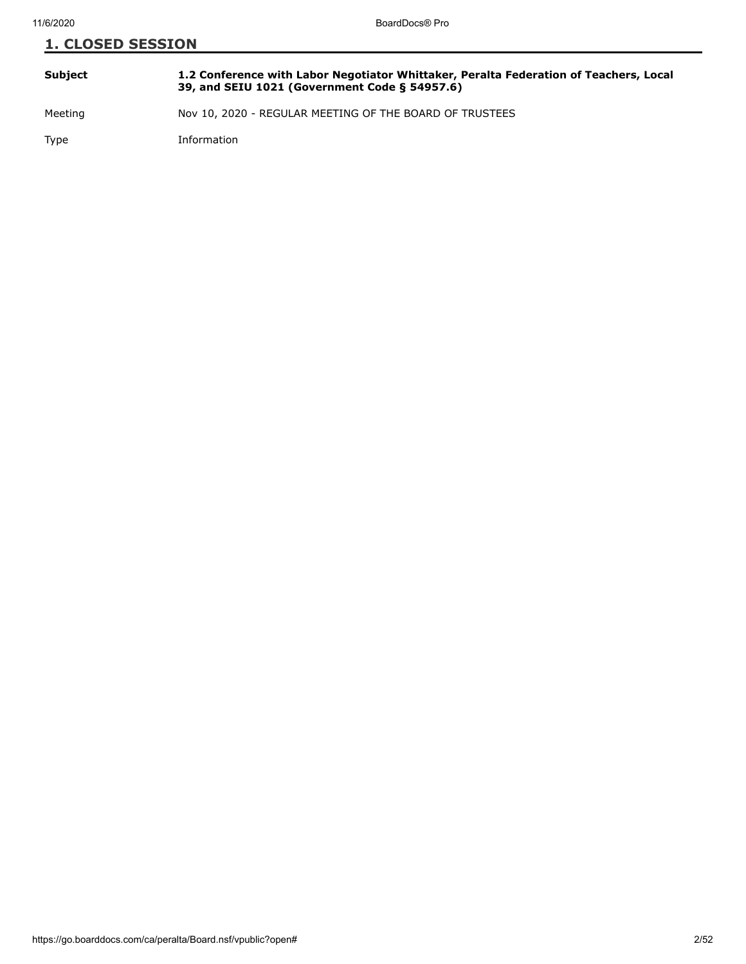| <b>1. CLOSED SESSION</b> |                                                                                                                                        |  |
|--------------------------|----------------------------------------------------------------------------------------------------------------------------------------|--|
| Subject                  | 1.2 Conference with Labor Negotiator Whittaker, Peralta Federation of Teachers, Local<br>39, and SEIU 1021 (Government Code § 54957.6) |  |
| Meeting                  | Nov 10, 2020 - REGULAR MEETING OF THE BOARD OF TRUSTEES                                                                                |  |

Type Information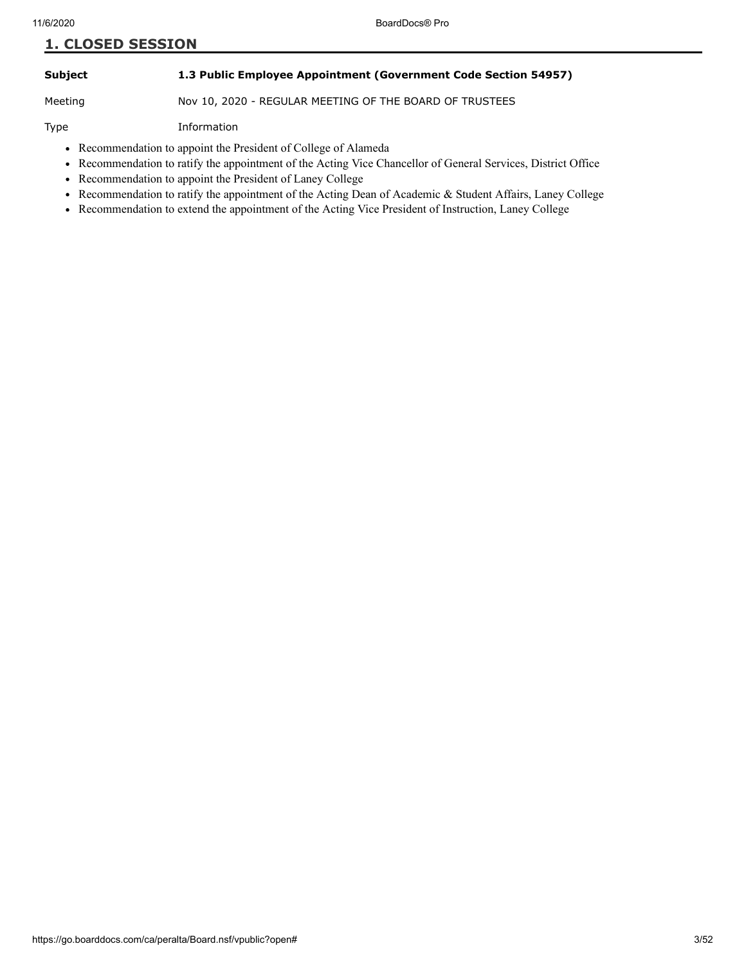## **Subject 1.3 Public Employee Appointment (Government Code Section 54957)**

Meeting Nov 10, 2020 - REGULAR MEETING OF THE BOARD OF TRUSTEES

Type Information

- Recommendation to appoint the President of College of Alameda
- Recommendation to ratify the appointment of the Acting Vice Chancellor of General Services, District Office
- Recommendation to appoint the President of Laney College
- Recommendation to ratify the appointment of the Acting Dean of Academic & Student Affairs, Laney College
- Recommendation to extend the appointment of the Acting Vice President of Instruction, Laney College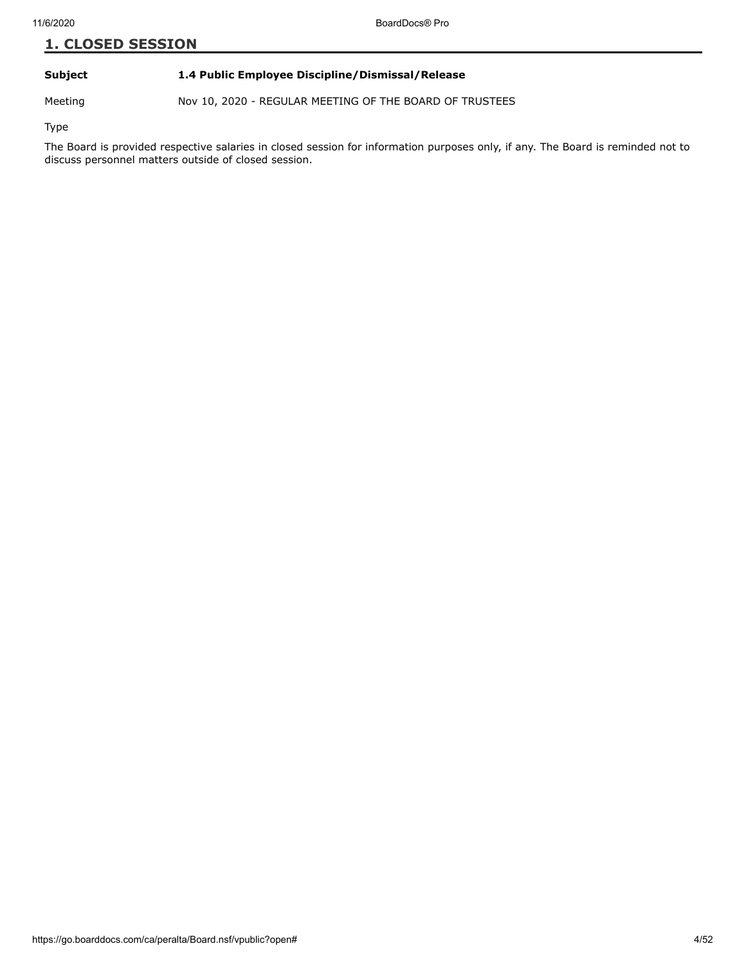#### **Subject 1.4 Public Employee Discipline/Dismissal/Release**

Meeting Nov 10, 2020 - REGULAR MEETING OF THE BOARD OF TRUSTEES

Type

The Board is provided respective salaries in closed session for information purposes only, if any. The Board is reminded not to discuss personnel matters outside of closed session.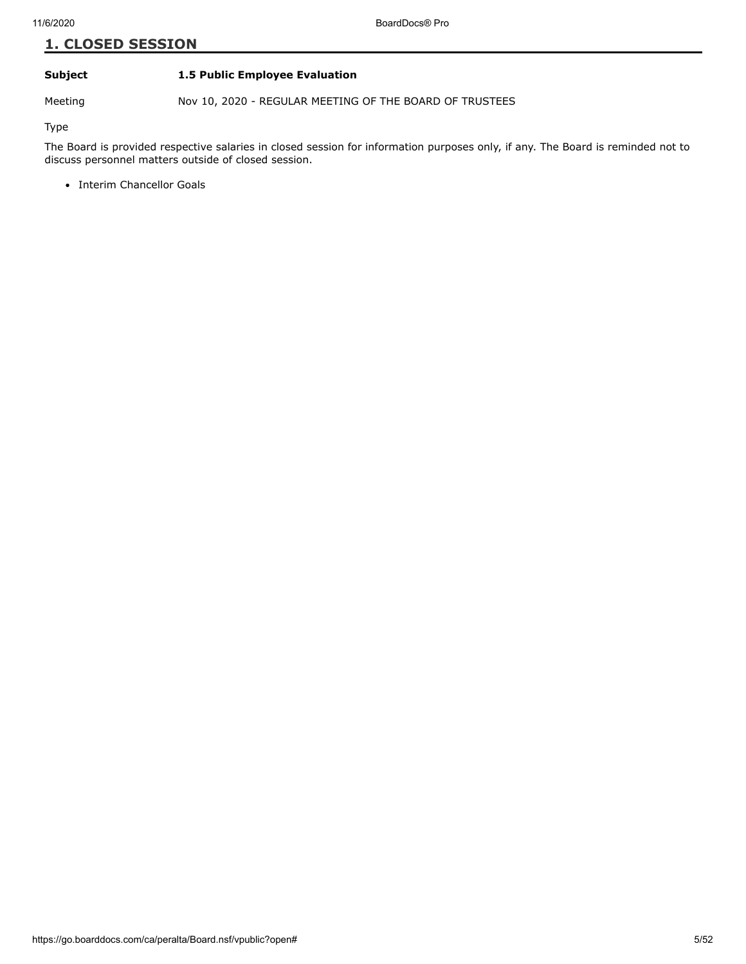#### **Subject 1.5 Public Employee Evaluation**

Meeting Nov 10, 2020 - REGULAR MEETING OF THE BOARD OF TRUSTEES

Type

The Board is provided respective salaries in closed session for information purposes only, if any. The Board is reminded not to discuss personnel matters outside of closed session.

• Interim Chancellor Goals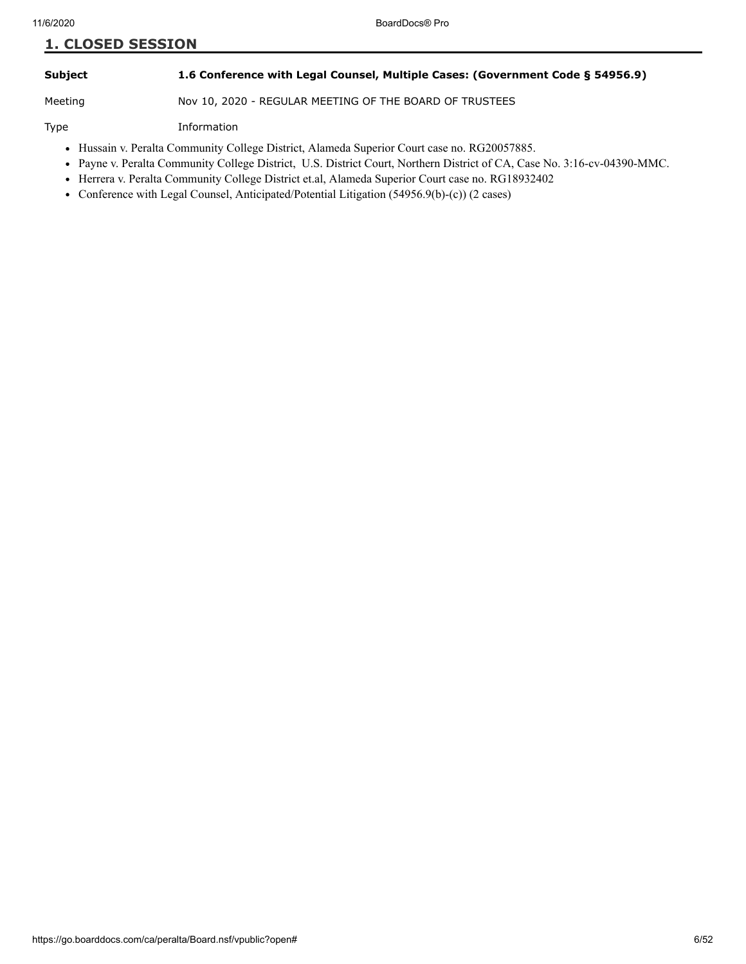#### **Subject 1.6 Conference with Legal Counsel, Multiple Cases: (Government Code § 54956.9)**

Meeting Nov 10, 2020 - REGULAR MEETING OF THE BOARD OF TRUSTEES

Type Information

- Hussain v. Peralta Community College District, Alameda Superior Court case no. RG20057885.
- Payne v. Peralta Community College District, U.S. District Court, Northern District of CA, Case No. 3:16-cv-04390-MMC.
- Herrera v. Peralta Community College District et.al, Alameda Superior Court case no. RG18932402
- Conference with Legal Counsel, Anticipated/Potential Litigation (54956.9(b)-(c)) (2 cases)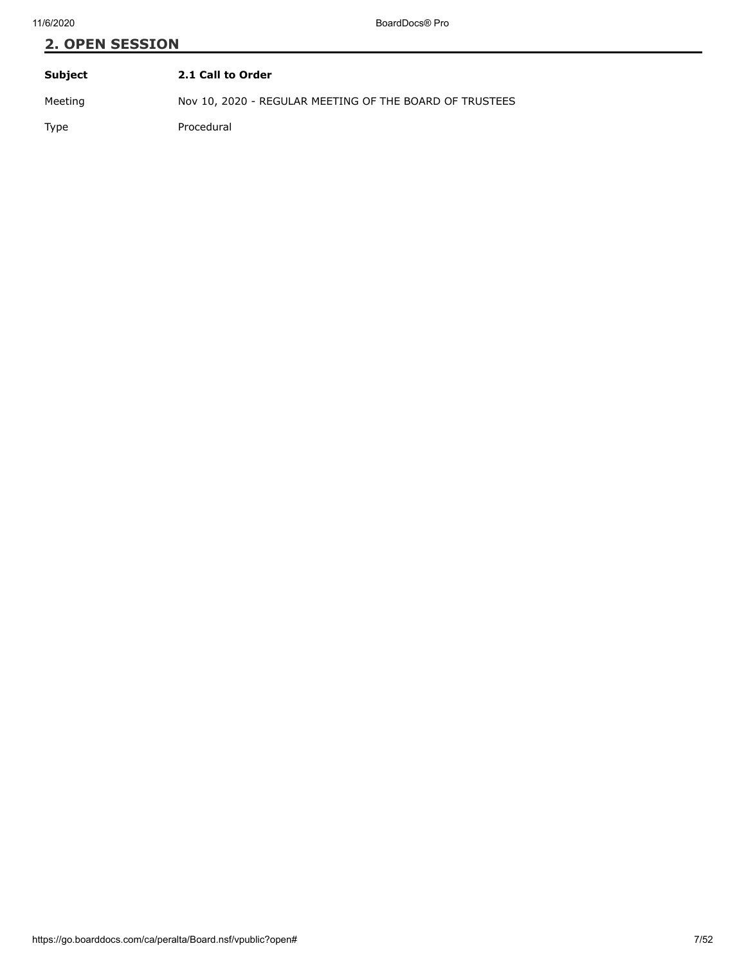# **2. OPEN SESSION Subject 2.1 Call to Order**

Meeting Nov 10, 2020 - REGULAR MEETING OF THE BOARD OF TRUSTEES

Type Procedural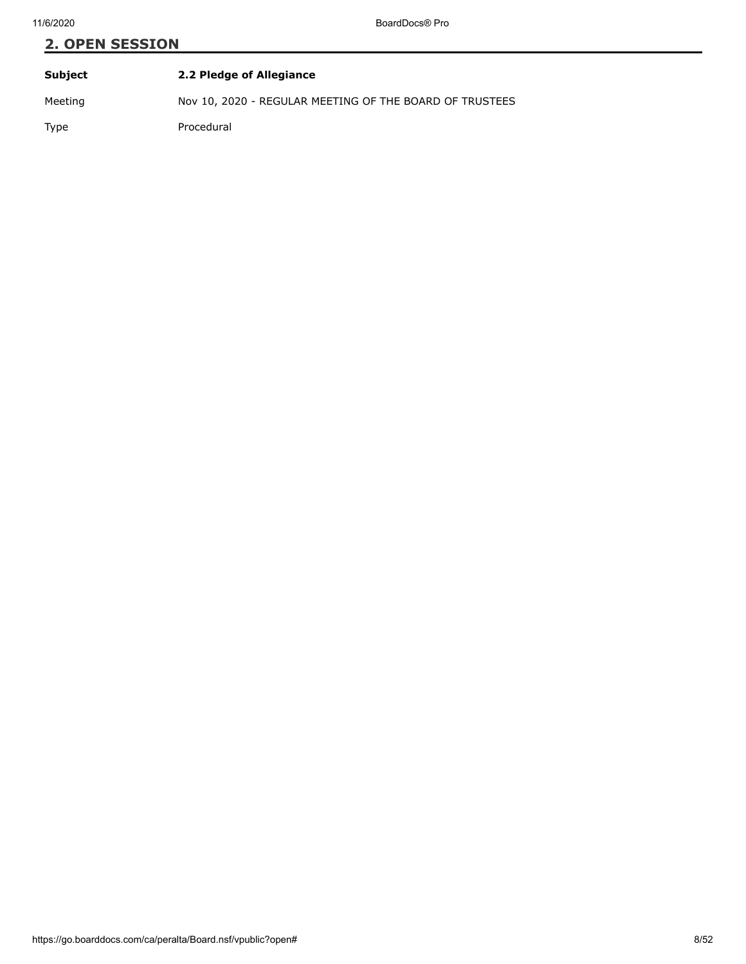| Subject | 2.2 Pledge of Allegiance                                |
|---------|---------------------------------------------------------|
| Meeting | Nov 10, 2020 - REGULAR MEETING OF THE BOARD OF TRUSTEES |
| Type    | Procedural                                              |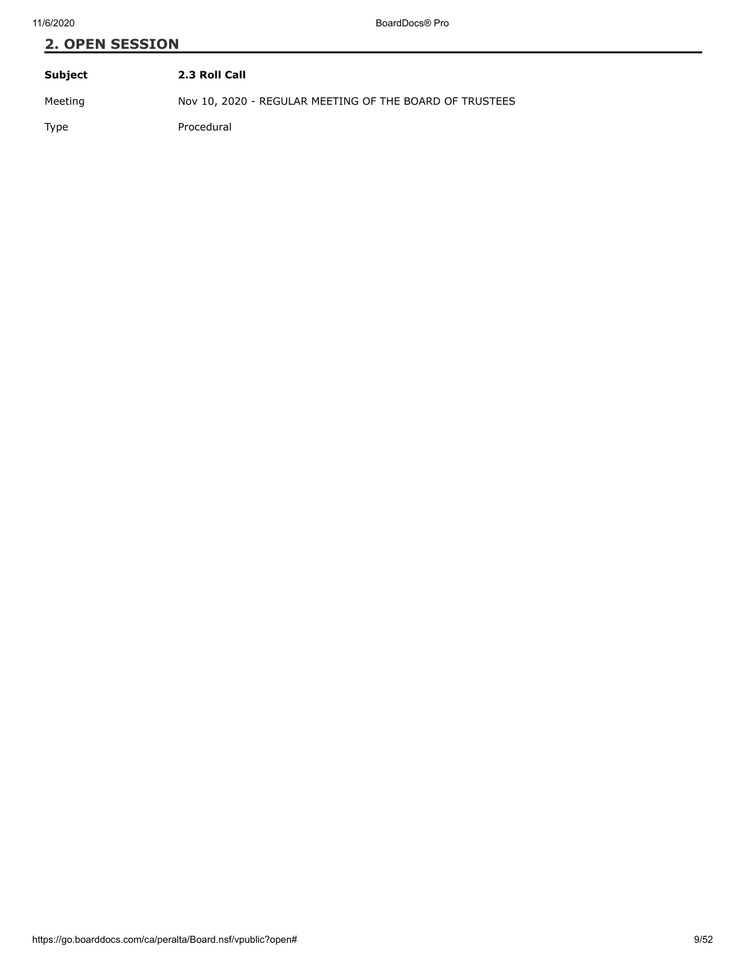| Subject | 2.3 Roll Call                                           |
|---------|---------------------------------------------------------|
| Meeting | Nov 10, 2020 - REGULAR MEETING OF THE BOARD OF TRUSTEES |
| Type    | Procedural                                              |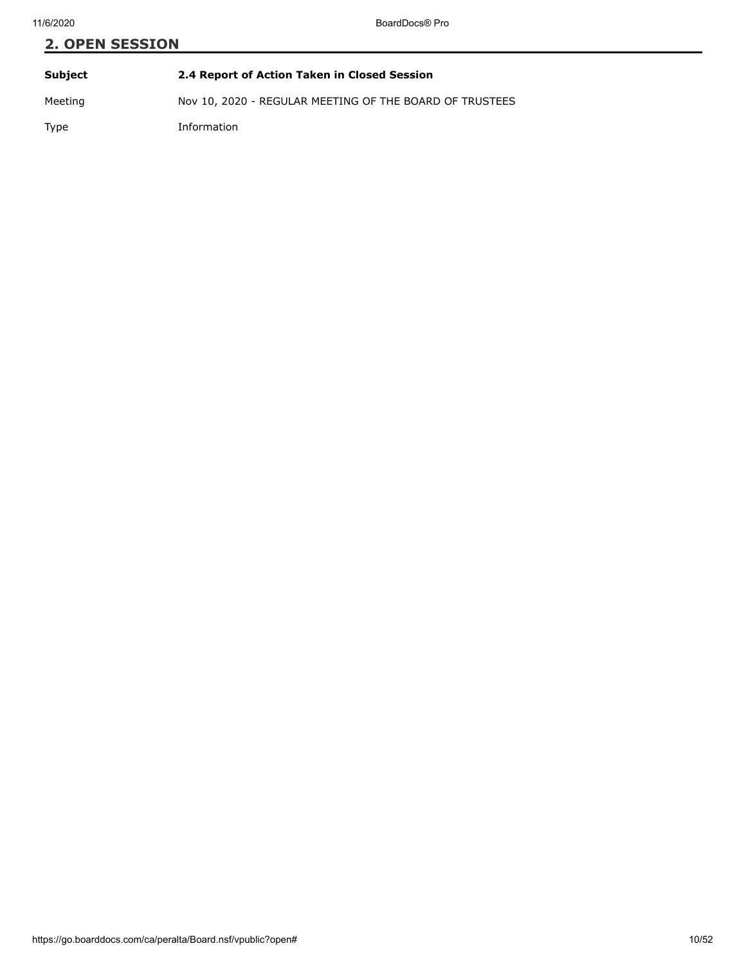# **2. OPEN SESSION Subject 2.4 Report of Action Taken in Closed Session** Meeting Nov 10, 2020 - REGULAR MEETING OF THE BOARD OF TRUSTEES

Type Information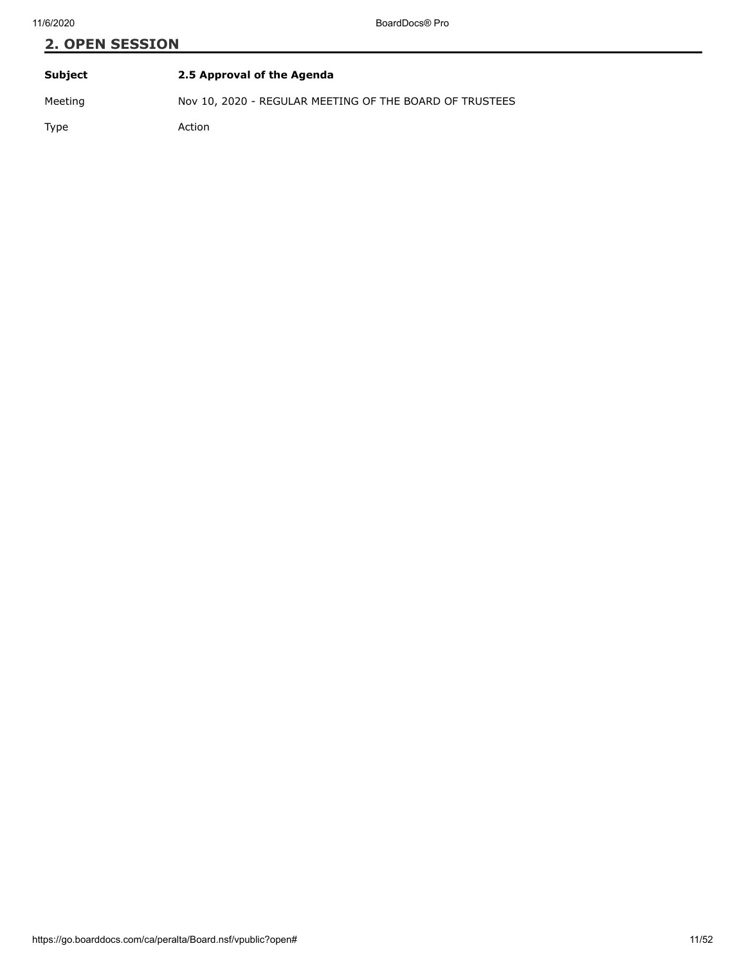| Subject | 2.5 Approval of the Agenda                              |
|---------|---------------------------------------------------------|
| Meeting | Nov 10, 2020 - REGULAR MEETING OF THE BOARD OF TRUSTEES |

Type Action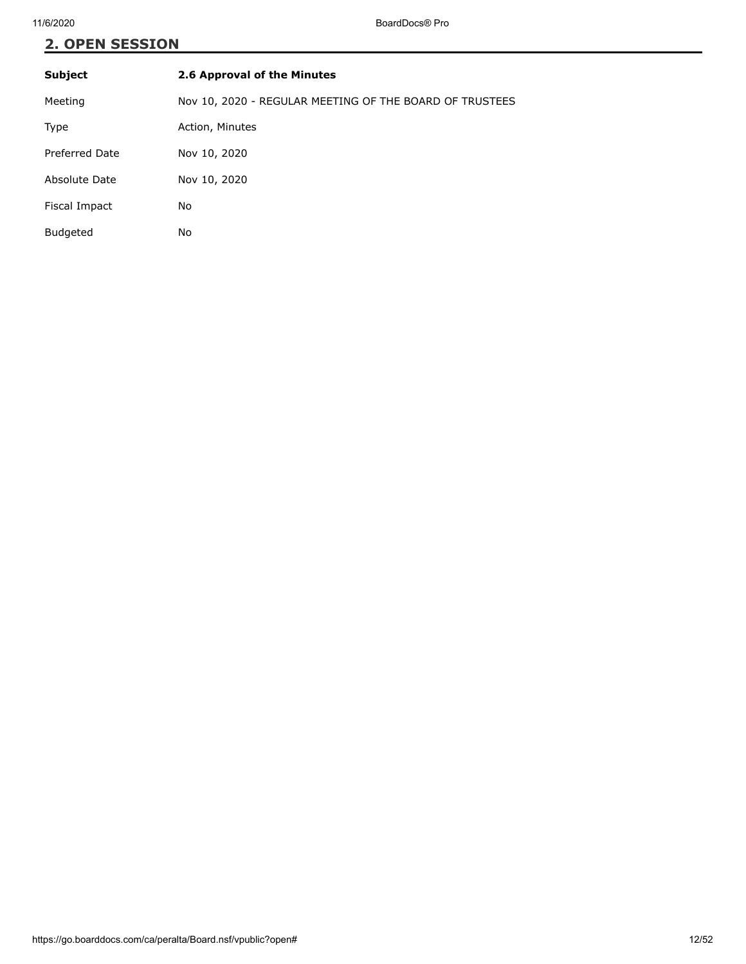| <b>Subject</b>  | 2.6 Approval of the Minutes                             |
|-----------------|---------------------------------------------------------|
| Meeting         | Nov 10, 2020 - REGULAR MEETING OF THE BOARD OF TRUSTEES |
| Type            | Action, Minutes                                         |
| Preferred Date  | Nov 10, 2020                                            |
| Absolute Date   | Nov 10, 2020                                            |
| Fiscal Impact   | No                                                      |
| <b>Budgeted</b> | No                                                      |
|                 |                                                         |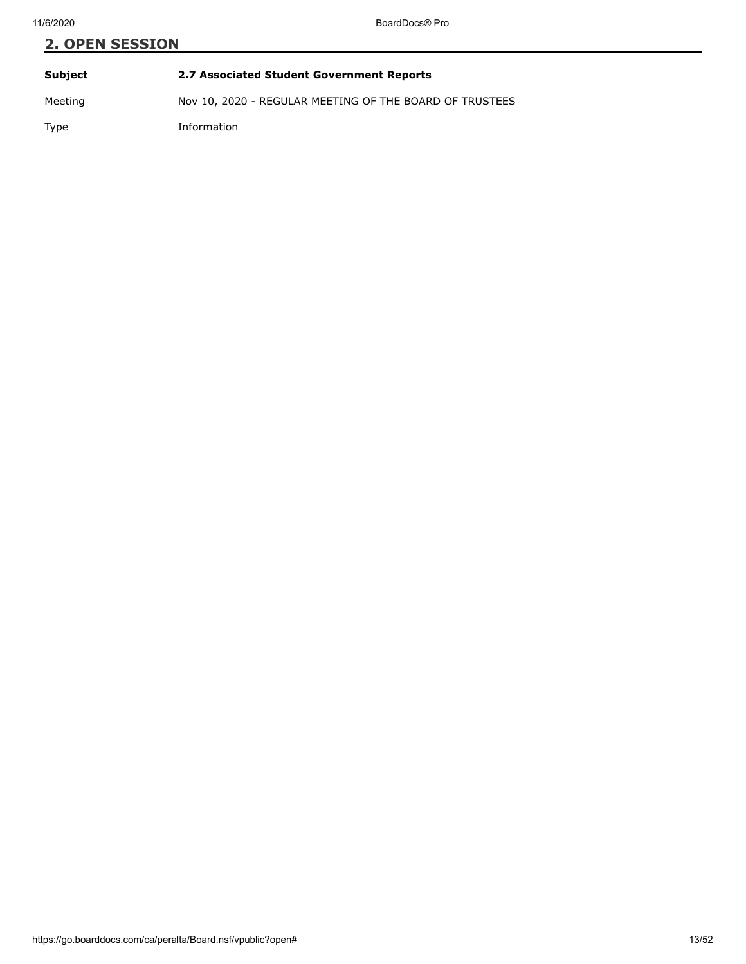# **2. OPEN SESSION Subject 2.7 Associated Student Government Reports** Meeting Nov 10, 2020 - REGULAR MEETING OF THE BOARD OF TRUSTEES

Type Information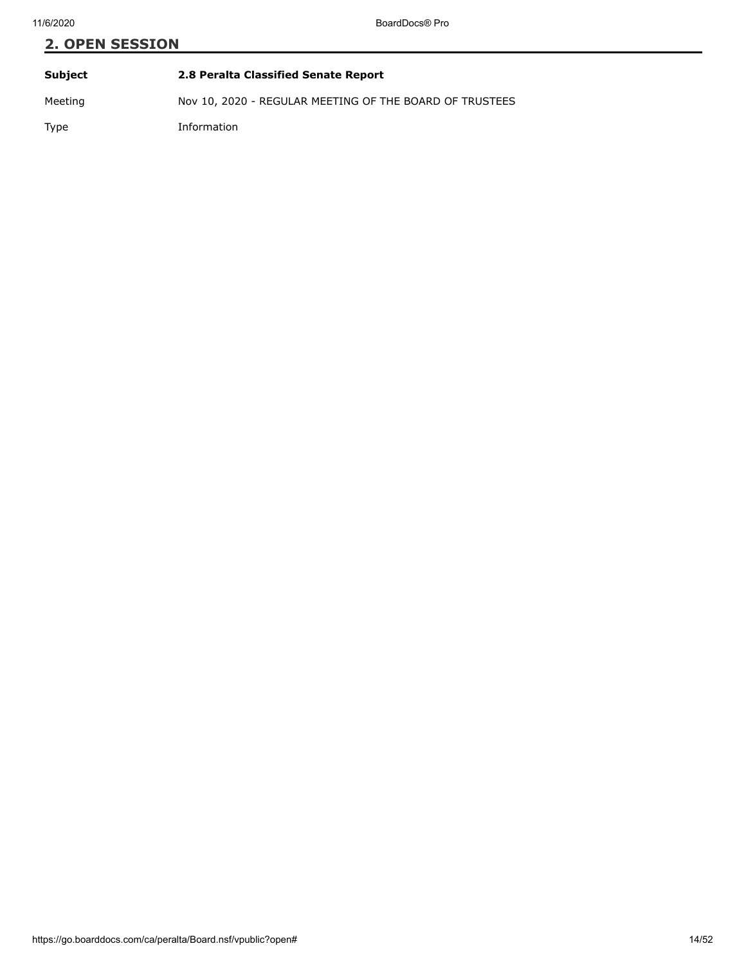| Subject | 2.8 Peralta Classified Senate Report                    |
|---------|---------------------------------------------------------|
| Meeting | Nov 10, 2020 - REGULAR MEETING OF THE BOARD OF TRUSTEES |
| Type    | Information                                             |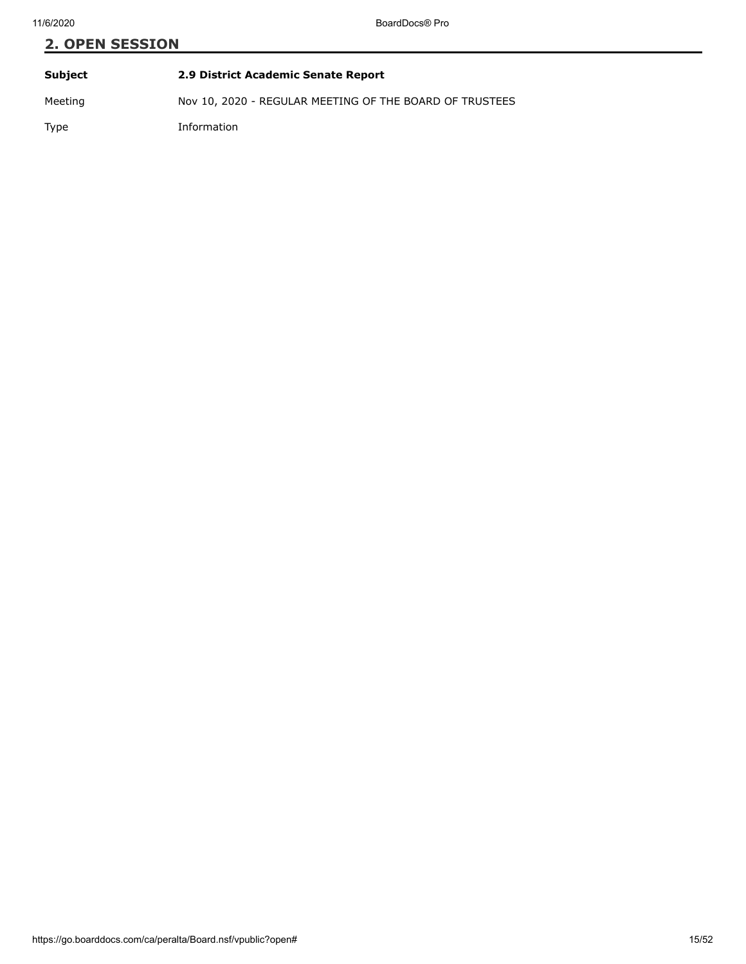**Subject 2.9 District Academic Senate Report** Meeting Nov 10, 2020 - REGULAR MEETING OF THE BOARD OF TRUSTEES Type Information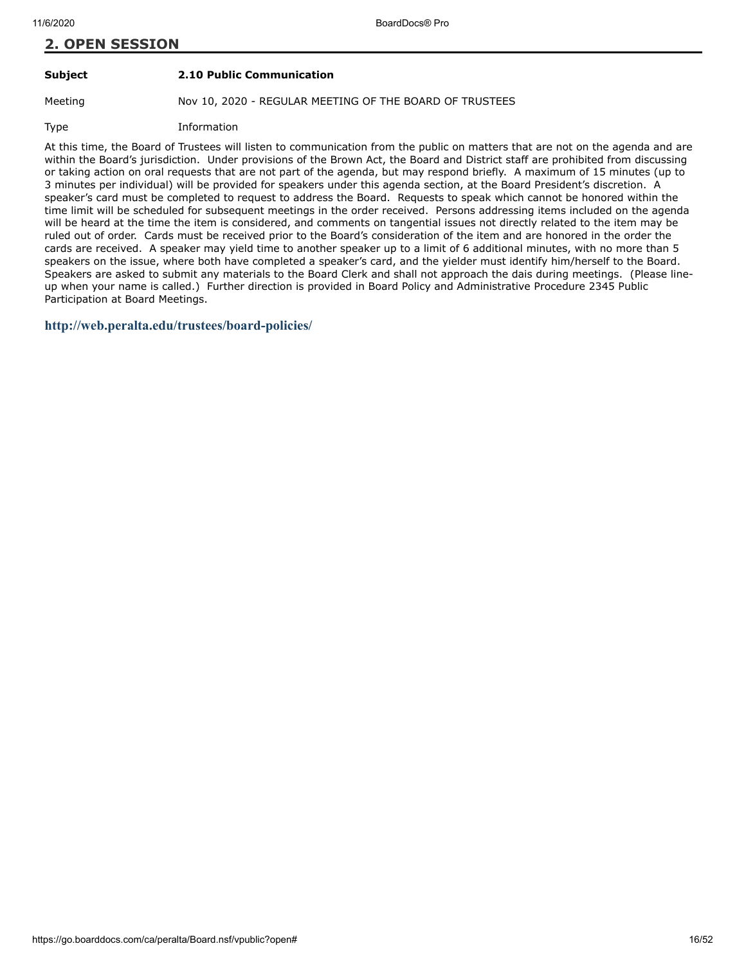#### **Subject 2.10 Public Communication**

Meeting Nov 10, 2020 - REGULAR MEETING OF THE BOARD OF TRUSTEES

Type Information

At this time, the Board of Trustees will listen to communication from the public on matters that are not on the agenda and are within the Board's jurisdiction. Under provisions of the Brown Act, the Board and District staff are prohibited from discussing or taking action on oral requests that are not part of the agenda, but may respond briefly. A maximum of 15 minutes (up to 3 minutes per individual) will be provided for speakers under this agenda section, at the Board President's discretion. A speaker's card must be completed to request to address the Board. Requests to speak which cannot be honored within the time limit will be scheduled for subsequent meetings in the order received. Persons addressing items included on the agenda will be heard at the time the item is considered, and comments on tangential issues not directly related to the item may be ruled out of order. Cards must be received prior to the Board's consideration of the item and are honored in the order the cards are received. A speaker may yield time to another speaker up to a limit of 6 additional minutes, with no more than 5 speakers on the issue, where both have completed a speaker's card, and the yielder must identify him/herself to the Board. Speakers are asked to submit any materials to the Board Clerk and shall not approach the dais during meetings. (Please lineup when your name is called.) Further direction is provided in Board Policy and Administrative Procedure 2345 Public Participation at Board Meetings.

#### **<http://web.peralta.edu/trustees/board-policies/>**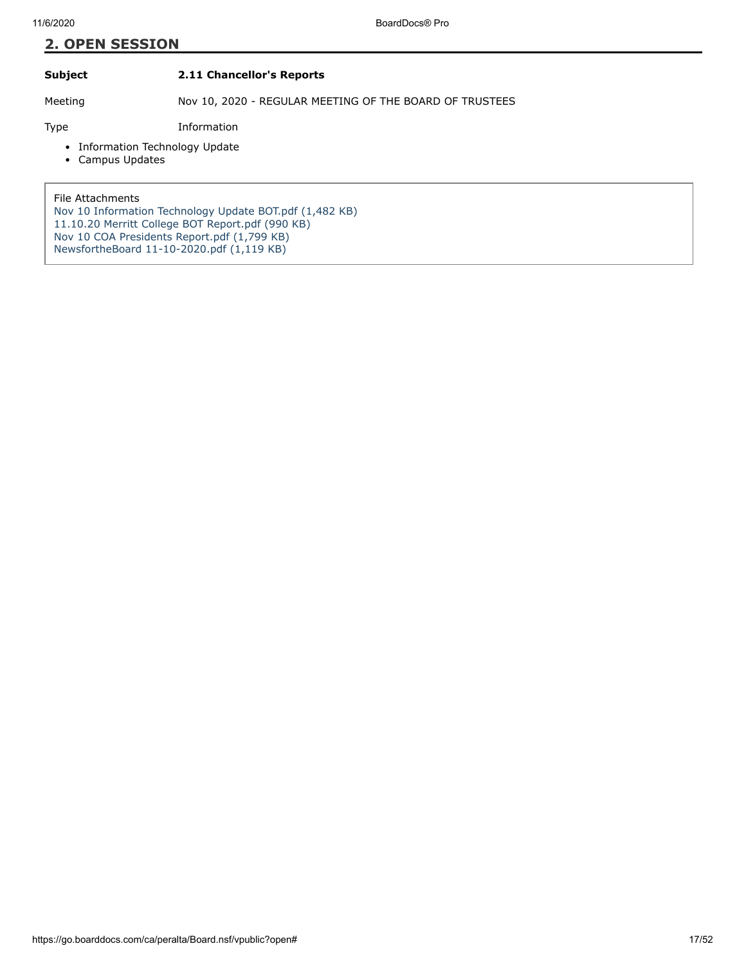#### **Subject 2.11 Chancellor's Reports**

Meeting Nov 10, 2020 - REGULAR MEETING OF THE BOARD OF TRUSTEES

Type Information

- Information Technology Update
- Campus Updates

File Attachments

[Nov 10 Information Technology Update BOT.pdf \(1,482 KB\)](https://go.boarddocs.com/ca/peralta/Board.nsf/files/BV53G606C0E9/$file/Nov%2010%20Information%20Technology%20Update%20BOT.pdf) [11.10.20 Merritt College BOT Report.pdf \(990 KB\)](https://go.boarddocs.com/ca/peralta/Board.nsf/files/BUYVZF81DF8B/$file/11.10.20%20Merritt%20College%20BOT%20Report.pdf) [Nov 10 COA Presidents Report.pdf \(1,799 KB\)](https://go.boarddocs.com/ca/peralta/Board.nsf/files/BV4MFC5B0290/$file/Nov%2010%20COA%20Presidents%20Report.pdf) NewsfortheBoard 11-10-2020.pdf  $(1,119$  KB)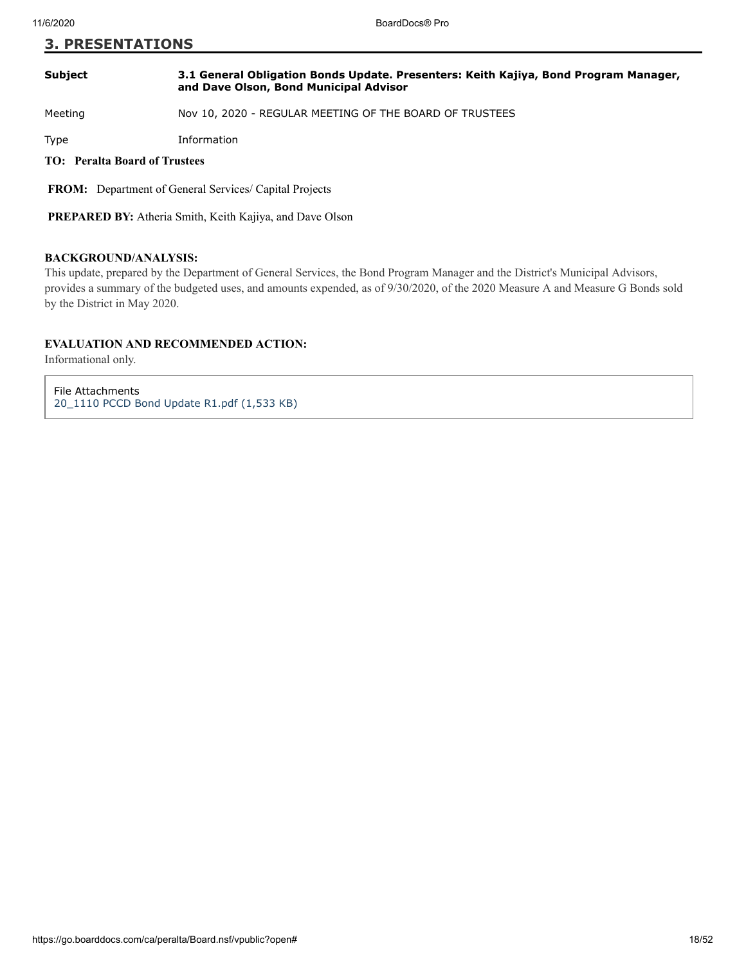#### **3. PRESENTATIONS**

#### **Subject 3.1 General Obligation Bonds Update. Presenters: Keith Kajiya, Bond Program Manager, and Dave Olson, Bond Municipal Advisor**

Meeting Nov 10, 2020 - REGULAR MEETING OF THE BOARD OF TRUSTEES

Type Information

#### **TO: Peralta Board of Trustees**

 **FROM:** Department of General Services/ Capital Projects

 **PREPARED BY:** Atheria Smith, Keith Kajiya, and Dave Olson

#### **BACKGROUND/ANALYSIS:**

This update, prepared by the Department of General Services, the Bond Program Manager and the District's Municipal Advisors, provides a summary of the budgeted uses, and amounts expended, as of 9/30/2020, of the 2020 Measure A and Measure G Bonds sold by the District in May 2020.

#### **EVALUATION AND RECOMMENDED ACTION:**

Informational only.

File Attachments [20\\_1110 PCCD Bond Update R1.pdf \(1,533 KB\)](https://go.boarddocs.com/ca/peralta/Board.nsf/files/BUZRCH6D5224/$file/20_1110%20PCCD%20Bond%20Update%20R1.pdf)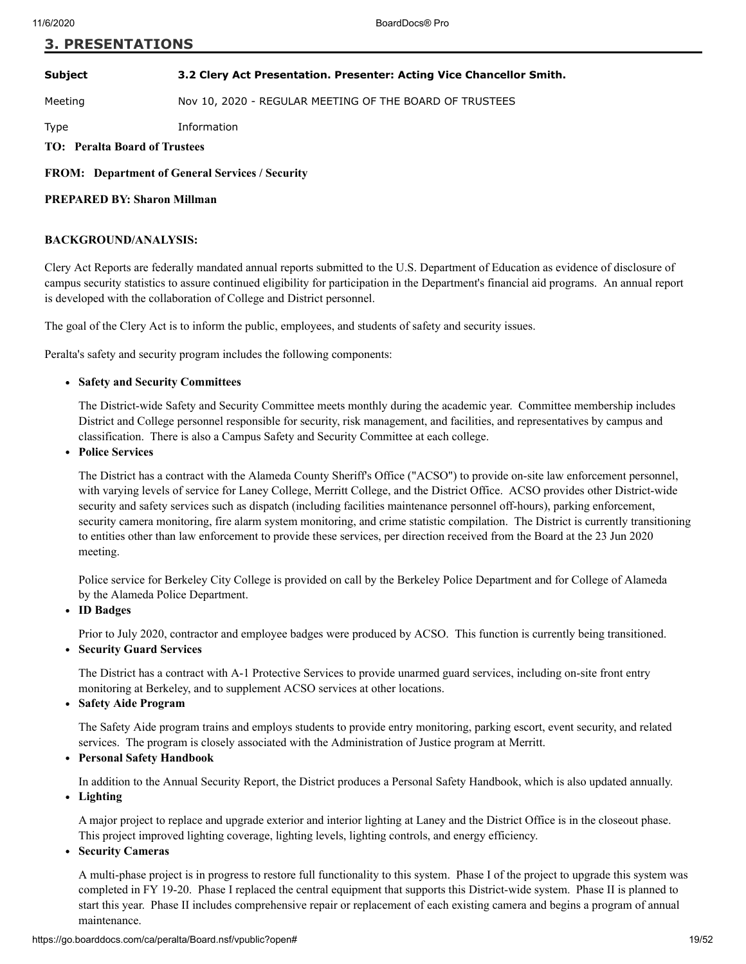#### **3. PRESENTATIONS**

**Subject 3.2 Clery Act Presentation. Presenter: Acting Vice Chancellor Smith.**

Meeting Nov 10, 2020 - REGULAR MEETING OF THE BOARD OF TRUSTEES

Type Information

**TO: Peralta Board of Trustees**

**FROM: Department of General Services / Security**

#### **PREPARED BY: Sharon Millman**

#### **BACKGROUND/ANALYSIS:**

Clery Act Reports are federally mandated annual reports submitted to the U.S. Department of Education as evidence of disclosure of campus security statistics to assure continued eligibility for participation in the Department's financial aid programs. An annual report is developed with the collaboration of College and District personnel.

The goal of the Clery Act is to inform the public, employees, and students of safety and security issues.

Peralta's safety and security program includes the following components:

#### **Safety and Security Committees**

The District-wide Safety and Security Committee meets monthly during the academic year. Committee membership includes District and College personnel responsible for security, risk management, and facilities, and representatives by campus and classification. There is also a Campus Safety and Security Committee at each college.

**Police Services**

The District has a contract with the Alameda County Sheriff's Office ("ACSO") to provide on-site law enforcement personnel, with varying levels of service for Laney College, Merritt College, and the District Office. ACSO provides other District-wide security and safety services such as dispatch (including facilities maintenance personnel off-hours), parking enforcement, security camera monitoring, fire alarm system monitoring, and crime statistic compilation. The District is currently transitioning to entities other than law enforcement to provide these services, per direction received from the Board at the 23 Jun 2020 meeting.

Police service for Berkeley City College is provided on call by the Berkeley Police Department and for College of Alameda by the Alameda Police Department.

**ID Badges**

Prior to July 2020, contractor and employee badges were produced by ACSO. This function is currently being transitioned.

**Security Guard Services**

The District has a contract with A-1 Protective Services to provide unarmed guard services, including on-site front entry monitoring at Berkeley, and to supplement ACSO services at other locations.

**Safety Aide Program** 

The Safety Aide program trains and employs students to provide entry monitoring, parking escort, event security, and related services. The program is closely associated with the Administration of Justice program at Merritt.

**Personal Safety Handbook**

In addition to the Annual Security Report, the District produces a Personal Safety Handbook, which is also updated annually. **Lighting**

A major project to replace and upgrade exterior and interior lighting at Laney and the District Office is in the closeout phase. This project improved lighting coverage, lighting levels, lighting controls, and energy efficiency.

**Security Cameras**

A multi-phase project is in progress to restore full functionality to this system. Phase I of the project to upgrade this system was completed in FY 19-20. Phase I replaced the central equipment that supports this District-wide system. Phase II is planned to start this year. Phase II includes comprehensive repair or replacement of each existing camera and begins a program of annual maintenance.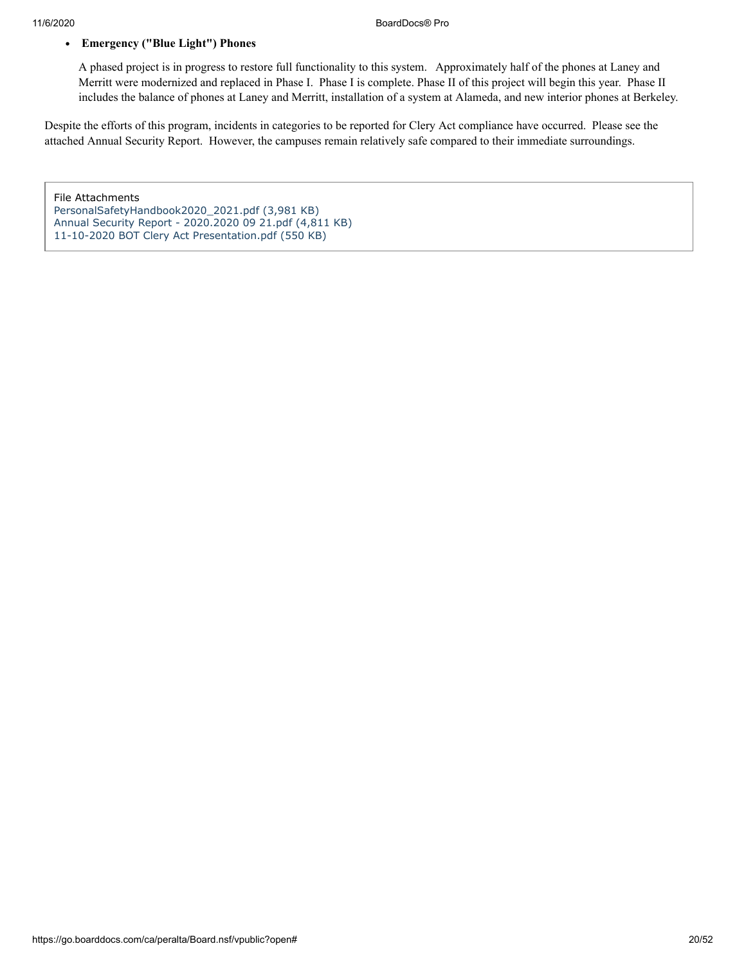#### **Emergency ("Blue Light") Phones**

A phased project is in progress to restore full functionality to this system. Approximately half of the phones at Laney and Merritt were modernized and replaced in Phase I. Phase I is complete. Phase II of this project will begin this year. Phase II includes the balance of phones at Laney and Merritt, installation of a system at Alameda, and new interior phones at Berkeley.

Despite the efforts of this program, incidents in categories to be reported for Clery Act compliance have occurred. Please see the attached Annual Security Report. However, the campuses remain relatively safe compared to their immediate surroundings.

File Attachments [PersonalSafetyHandbook2020\\_2021.pdf \(3,981 KB\)](https://go.boarddocs.com/ca/peralta/Board.nsf/files/BUTU4R7A44EE/$file/PersonalSafetyHandbook2020_2021.pdf) [Annual Security Report - 2020.2020 09 21.pdf \(4,811 KB\)](https://go.boarddocs.com/ca/peralta/Board.nsf/files/BUTU4W7A4AE8/$file/Annual%20Security%20Report%20-%202020.2020%2009%2021.pdf) [11-10-2020 BOT Clery Act Presentation.pdf \(550 KB\)](https://go.boarddocs.com/ca/peralta/Board.nsf/files/BUZ8921D25DB/$file/11-10-2020%20BOT%20Clery%20Act%20Presentation.pdf)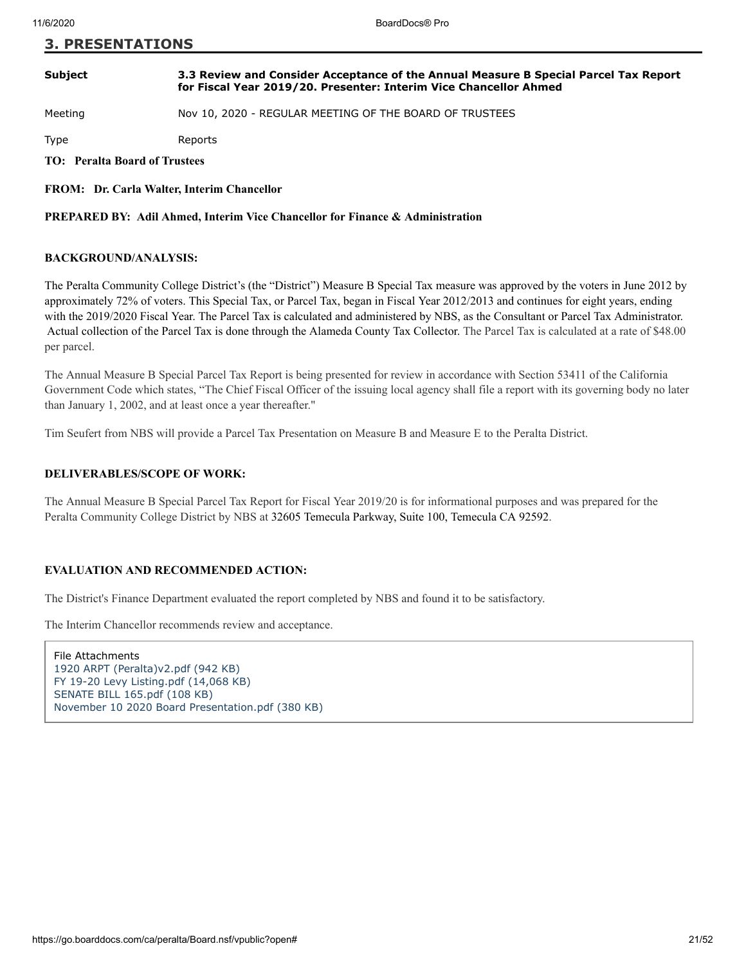#### **3. PRESENTATIONS**

#### **Subject 3.3 Review and Consider Acceptance of the Annual Measure B Special Parcel Tax Report for Fiscal Year 2019/20. Presenter: Interim Vice Chancellor Ahmed**

Meeting Nov 10, 2020 - REGULAR MEETING OF THE BOARD OF TRUSTEES

Type Reports

**TO: Peralta Board of Trustees**

**FROM: Dr. Carla Walter, Interim Chancellor**

**PREPARED BY: Adil Ahmed, Interim Vice Chancellor for Finance & Administration**

#### **BACKGROUND/ANALYSIS:**

The Peralta Community College District's (the "District") Measure B Special Tax measure was approved by the voters in June 2012 by approximately 72% of voters. This Special Tax, or Parcel Tax, began in Fiscal Year 2012/2013 and continues for eight years, ending with the 2019/2020 Fiscal Year. The Parcel Tax is calculated and administered by NBS, as the Consultant or Parcel Tax Administrator. Actual collection of the Parcel Tax is done through the Alameda County Tax Collector. The Parcel Tax is calculated at a rate of \$48.00 per parcel.

The Annual Measure B Special Parcel Tax Report is being presented for review in accordance with Section 53411 of the California Government Code which states, "The Chief Fiscal Officer of the issuing local agency shall file a report with its governing body no later than January 1, 2002, and at least once a year thereafter."

Tim Seufert from NBS will provide a Parcel Tax Presentation on Measure B and Measure E to the Peralta District.

#### **DELIVERABLES/SCOPE OF WORK:**

The Annual Measure B Special Parcel Tax Report for Fiscal Year 2019/20 is for informational purposes and was prepared for the Peralta Community College District by NBS at 32605 Temecula Parkway, Suite 100, Temecula CA 92592.

#### **EVALUATION AND RECOMMENDED ACTION:**

The District's Finance Department evaluated the report completed by NBS and found it to be satisfactory.

The Interim Chancellor recommends review and acceptance.

File Attachments [1920 ARPT \(Peralta\)v2.pdf \(942 KB\)](https://go.boarddocs.com/ca/peralta/Board.nsf/files/BUUTB6768596/$file/1920%20ARPT%20(Peralta)v2.pdf) [FY 19-20 Levy Listing.pdf \(14,068 KB\)](https://go.boarddocs.com/ca/peralta/Board.nsf/files/BUUTBC768BA6/$file/FY%2019-20%20Levy%20Listing.pdf) [SENATE BILL 165.pdf \(108 KB\)](https://go.boarddocs.com/ca/peralta/Board.nsf/files/BUV268009CC3/$file/SENATE%20BILL%20165.pdf) [November 10 2020 Board Presentation.pdf \(380 KB\)](https://go.boarddocs.com/ca/peralta/Board.nsf/files/BV4P6J6316AD/$file/November%2010%202020%20Board%20Presentation.pdf)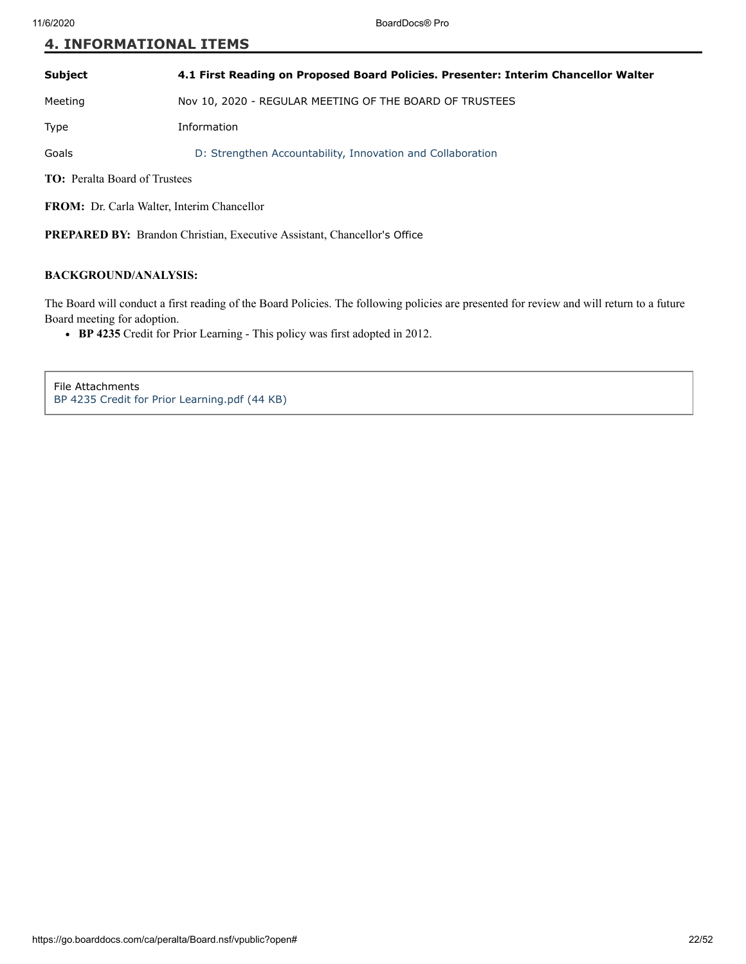#### **4. INFORMATIONAL ITEMS**

| <b>Subject</b><br>4.1 First Reading on Proposed Board Policies. Presenter: Interim Chancellor Walter |  |
|------------------------------------------------------------------------------------------------------|--|
|------------------------------------------------------------------------------------------------------|--|

Meeting Nov 10, 2020 - REGULAR MEETING OF THE BOARD OF TRUSTEES

Type Information

Goals D: Strengthen Accountability, Innovation and Collaboration

**TO:** Peralta Board of Trustees

**FROM:** Dr. Carla Walter, Interim Chancellor

**PREPARED BY:** Brandon Christian, Executive Assistant, Chancellor's Office

#### **BACKGROUND/ANALYSIS:**

The Board will conduct a first reading of the Board Policies. The following policies are presented for review and will return to a future Board meeting for adoption.

**BP 4235** Credit for Prior Learning - This policy was first adopted in 2012.

File Attachments [BP 4235 Credit for Prior Learning.pdf \(44 KB\)](https://go.boarddocs.com/ca/peralta/Board.nsf/files/BUS2EP01DA1D/$file/BP%204235%20Credit%20for%20Prior%20Learning.pdf)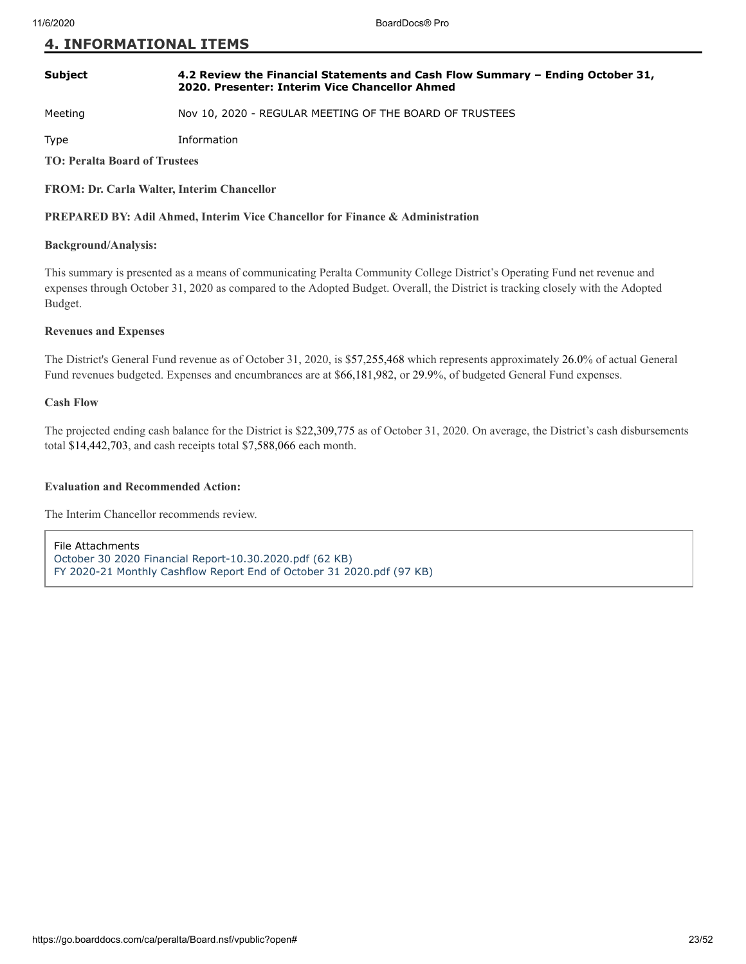#### **4. INFORMATIONAL ITEMS**

#### **Subject 4.2 Review the Financial Statements and Cash Flow Summary – Ending October 31, 2020. Presenter: Interim Vice Chancellor Ahmed**

Meeting Nov 10, 2020 - REGULAR MEETING OF THE BOARD OF TRUSTEES

Type Information

**TO: Peralta Board of Trustees**

#### **FROM: Dr. Carla Walter, Interim Chancellor**

#### **PREPARED BY: Adil Ahmed, Interim Vice Chancellor for Finance & Administration**

#### **Background/Analysis:**

This summary is presented as a means of communicating Peralta Community College District's Operating Fund net revenue and expenses through October 31, 2020 as compared to the Adopted Budget. Overall, the District is tracking closely with the Adopted Budget.

#### **Revenues and Expenses**

The District's General Fund revenue as of October 31, 2020, is \$57,255,468 which represents approximately 26.0% of actual General Fund revenues budgeted. Expenses and encumbrances are at \$66,181,982, or 29.9%, of budgeted General Fund expenses.

#### **Cash Flow**

The projected ending cash balance for the District is \$22,309,775 as of October 31, 2020. On average, the District's cash disbursements total \$14,442,703, and cash receipts total \$7,588,066 each month.

#### **Evaluation and Recommended Action:**

The Interim Chancellor recommends review.

File Attachments [October 30 2020 Financial Report-10.30.2020.pdf \(62 KB\)](https://go.boarddocs.com/ca/peralta/Board.nsf/files/BUZ9HT231F74/$file/October%20%2030%202020%20Financial%20Report-10.30.2020.pdf) [FY 2020-21 Monthly Cashflow Report End of October 31 2020.pdf \(97 KB\)](https://go.boarddocs.com/ca/peralta/Board.nsf/files/BUZS3W702946/$file/FY%202020-21%20Monthly%20Cashflow%20Report%20End%20of%20October%2031%202020.pdf)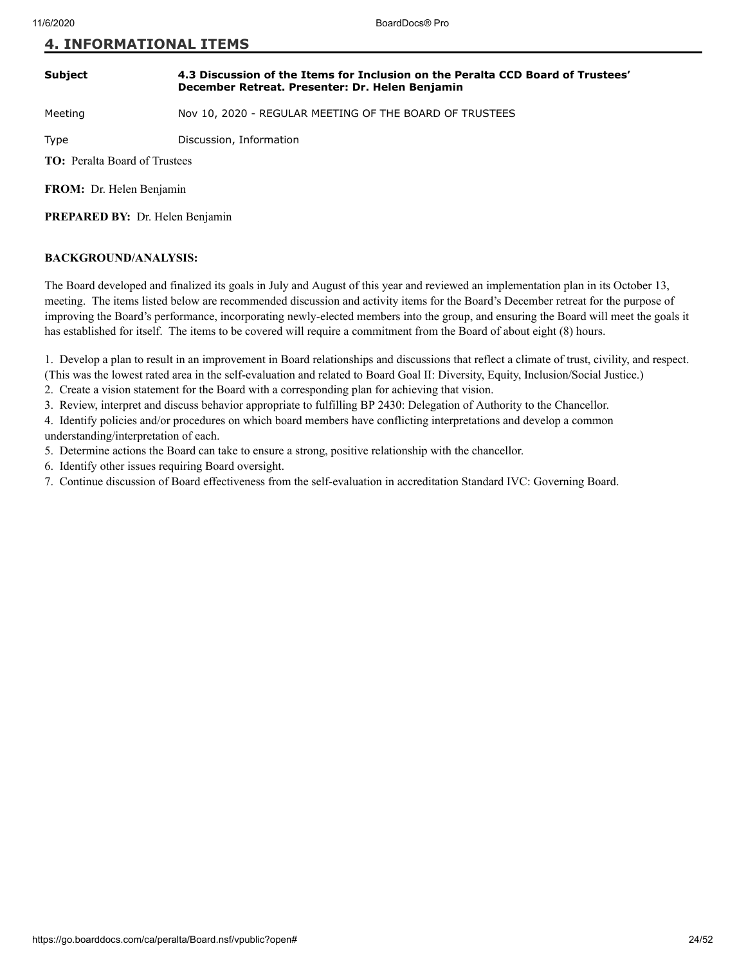#### **4. INFORMATIONAL ITEMS**

#### **Subject 4.3 Discussion of the Items for Inclusion on the Peralta CCD Board of Trustees' December Retreat. Presenter: Dr. Helen Benjamin**

Meeting Nov 10, 2020 - REGULAR MEETING OF THE BOARD OF TRUSTEES

Type Discussion, Information

**TO:** Peralta Board of Trustees

**FROM:** Dr. Helen Benjamin

**PREPARED BY:** Dr. Helen Benjamin

#### **BACKGROUND/ANALYSIS:**

The Board developed and finalized its goals in July and August of this year and reviewed an implementation plan in its October 13, meeting. The items listed below are recommended discussion and activity items for the Board's December retreat for the purpose of improving the Board's performance, incorporating newly-elected members into the group, and ensuring the Board will meet the goals it has established for itself. The items to be covered will require a commitment from the Board of about eight (8) hours.

1. Develop a plan to result in an improvement in Board relationships and discussions that reflect a climate of trust, civility, and respect. (This was the lowest rated area in the self-evaluation and related to Board Goal II: Diversity, Equity, Inclusion/Social Justice.)

2. Create a vision statement for the Board with a corresponding plan for achieving that vision.

3. Review, interpret and discuss behavior appropriate to fulfilling BP 2430: Delegation of Authority to the Chancellor.

4. Identify policies and/or procedures on which board members have conflicting interpretations and develop a common understanding/interpretation of each.

5. Determine actions the Board can take to ensure a strong, positive relationship with the chancellor.

- 6. Identify other issues requiring Board oversight.
- 7. Continue discussion of Board effectiveness from the self-evaluation in accreditation Standard IVC: Governing Board.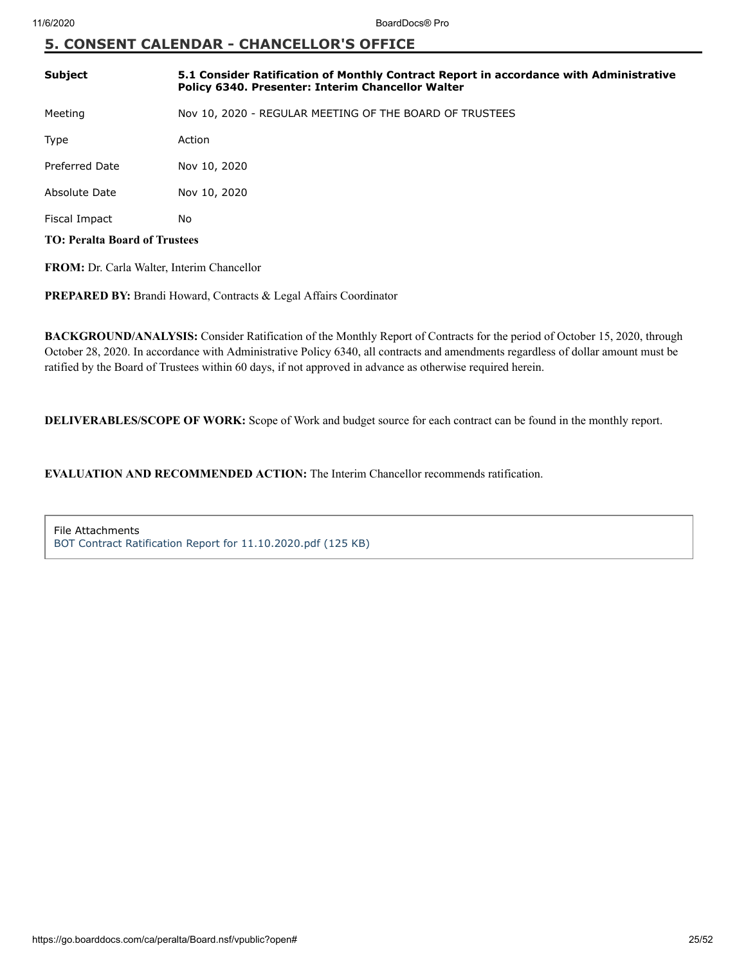#### **5. CONSENT CALENDAR - CHANCELLOR'S OFFICE**

| <b>Subject</b>                                    | 5.1 Consider Ratification of Monthly Contract Report in accordance with Administrative<br>Policy 6340. Presenter: Interim Chancellor Walter |  |
|---------------------------------------------------|---------------------------------------------------------------------------------------------------------------------------------------------|--|
| Meeting                                           | Nov 10, 2020 - REGULAR MEETING OF THE BOARD OF TRUSTEES                                                                                     |  |
| Type                                              | Action                                                                                                                                      |  |
| Preferred Date                                    | Nov 10, 2020                                                                                                                                |  |
| Absolute Date                                     | Nov 10, 2020                                                                                                                                |  |
| Fiscal Impact                                     | No                                                                                                                                          |  |
| <b>TO: Peralta Board of Trustees</b>              |                                                                                                                                             |  |
| <b>FROM:</b> Dr. Carla Walter, Interim Chancellor |                                                                                                                                             |  |

PREPARED BY: Brandi Howard, Contracts & Legal Affairs Coordinator

**BACKGROUND/ANALYSIS:** Consider Ratification of the Monthly Report of Contracts for the period of October 15, 2020, through October 28, 2020. In accordance with Administrative Policy 6340, all contracts and amendments regardless of dollar amount must be ratified by the Board of Trustees within 60 days, if not approved in advance as otherwise required herein.

**DELIVERABLES/SCOPE OF WORK:** Scope of Work and budget source for each contract can be found in the monthly report.

**EVALUATION AND RECOMMENDED ACTION:** The Interim Chancellor recommends ratification.

File Attachments [BOT Contract Ratification Report for 11.10.2020.pdf \(125 KB\)](https://go.boarddocs.com/ca/peralta/Board.nsf/files/BUU76M181C18/$file/BOT%20Contract%20Ratification%20Report%20for%2011.10.2020.pdf)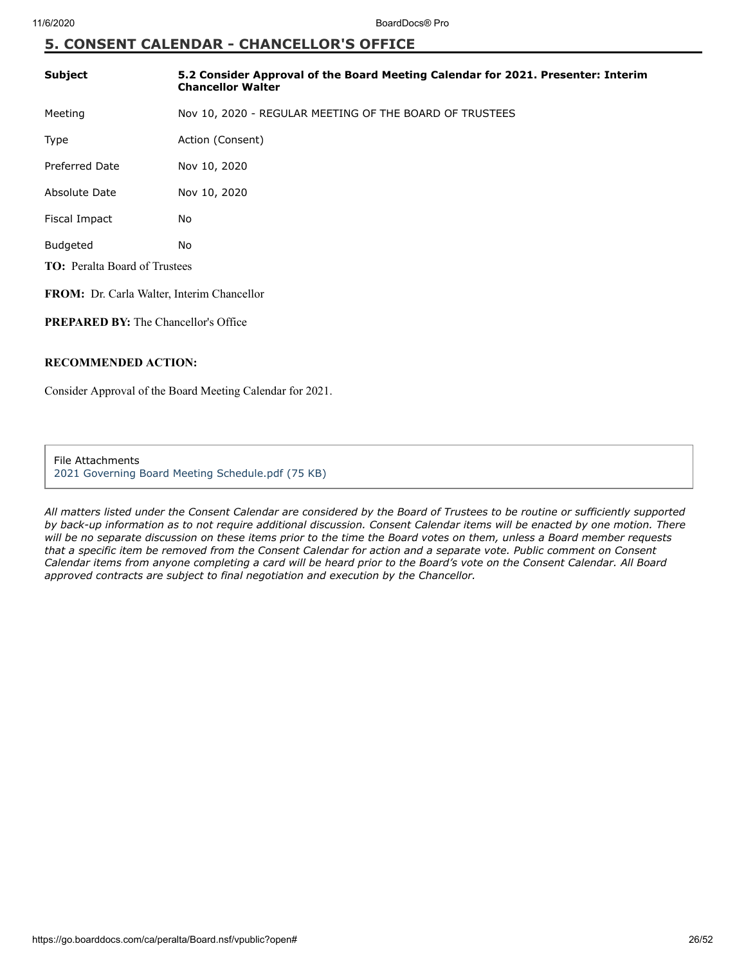### **5. CONSENT CALENDAR - CHANCELLOR'S OFFICE**

| <b>Subject</b>                                    | 5.2 Consider Approval of the Board Meeting Calendar for 2021. Presenter: Interim<br><b>Chancellor Walter</b> |  |
|---------------------------------------------------|--------------------------------------------------------------------------------------------------------------|--|
| Meeting                                           | Nov 10, 2020 - REGULAR MEETING OF THE BOARD OF TRUSTEES                                                      |  |
| Type                                              | Action (Consent)                                                                                             |  |
| <b>Preferred Date</b>                             | Nov 10, 2020                                                                                                 |  |
| Absolute Date                                     | Nov 10, 2020                                                                                                 |  |
| Fiscal Impact                                     | No                                                                                                           |  |
| <b>Budgeted</b>                                   | No                                                                                                           |  |
| <b>TO:</b> Peralta Board of Trustees              |                                                                                                              |  |
| <b>FROM:</b> Dr. Carla Walter, Interim Chancellor |                                                                                                              |  |

**PREPARED BY:** The Chancellor's Office

#### **RECOMMENDED ACTION:**

Consider Approval of the Board Meeting Calendar for 2021.

File Attachments [2021 Governing Board Meeting Schedule.pdf \(75 KB\)](https://go.boarddocs.com/ca/peralta/Board.nsf/files/BV53BW062184/$file/2021%20Governing%20Board%20Meeting%20Schedule.pdf)

*All matters listed under the Consent Calendar are considered by the Board of Trustees to be routine or sufficiently supported by back-up information as to not require additional discussion. Consent Calendar items will be enacted by one motion. There will be no separate discussion on these items prior to the time the Board votes on them, unless a Board member requests that a specific item be removed from the Consent Calendar for action and a separate vote. Public comment on Consent Calendar items from anyone completing a card will be heard prior to the Board's vote on the Consent Calendar. All Board approved contracts are subject to final negotiation and execution by the Chancellor.*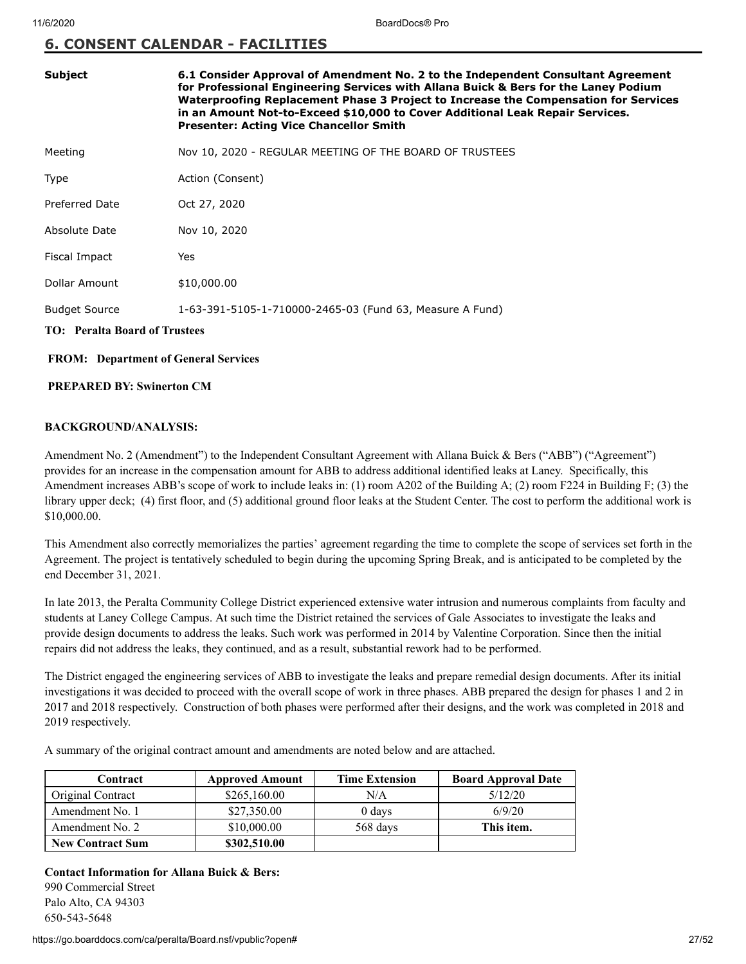#### **6. CONSENT CALENDAR - FACILITIES**

| <b>Subject</b>                              | 6.1 Consider Approval of Amendment No. 2 to the Independent Consultant Agreement<br>for Professional Engineering Services with Allana Buick & Bers for the Laney Podium<br>Waterproofing Replacement Phase 3 Project to Increase the Compensation for Services<br>in an Amount Not-to-Exceed \$10,000 to Cover Additional Leak Repair Services.<br><b>Presenter: Acting Vice Chancellor Smith</b> |
|---------------------------------------------|---------------------------------------------------------------------------------------------------------------------------------------------------------------------------------------------------------------------------------------------------------------------------------------------------------------------------------------------------------------------------------------------------|
| Meeting                                     | Nov 10, 2020 - REGULAR MEETING OF THE BOARD OF TRUSTEES                                                                                                                                                                                                                                                                                                                                           |
| Type                                        | Action (Consent)                                                                                                                                                                                                                                                                                                                                                                                  |
| Preferred Date                              | Oct 27, 2020                                                                                                                                                                                                                                                                                                                                                                                      |
| Absolute Date                               | Nov 10, 2020                                                                                                                                                                                                                                                                                                                                                                                      |
| Fiscal Impact                               | Yes                                                                                                                                                                                                                                                                                                                                                                                               |
| Dollar Amount                               | \$10,000.00                                                                                                                                                                                                                                                                                                                                                                                       |
| <b>Budget Source</b>                        | 1-63-391-5105-1-710000-2465-03 (Fund 63, Measure A Fund)                                                                                                                                                                                                                                                                                                                                          |
| <b>TO: Peralta Board of Trustees</b>        |                                                                                                                                                                                                                                                                                                                                                                                                   |
| <b>FROM:</b> Department of General Services |                                                                                                                                                                                                                                                                                                                                                                                                   |

#### **PREPARED BY: Swinerton CM**

#### **BACKGROUND/ANALYSIS:**

Amendment No. 2 (Amendment") to the Independent Consultant Agreement with Allana Buick & Bers ("ABB") ("Agreement") provides for an increase in the compensation amount for ABB to address additional identified leaks at Laney. Specifically, this Amendment increases ABB's scope of work to include leaks in: (1) room A202 of the Building A; (2) room F224 in Building F; (3) the library upper deck; (4) first floor, and (5) additional ground floor leaks at the Student Center. The cost to perform the additional work is \$10,000.00.

This Amendment also correctly memorializes the parties' agreement regarding the time to complete the scope of services set forth in the Agreement. The project is tentatively scheduled to begin during the upcoming Spring Break, and is anticipated to be completed by the end December 31, 2021.

In late 2013, the Peralta Community College District experienced extensive water intrusion and numerous complaints from faculty and students at Laney College Campus. At such time the District retained the services of Gale Associates to investigate the leaks and provide design documents to address the leaks. Such work was performed in 2014 by Valentine Corporation. Since then the initial repairs did not address the leaks, they continued, and as a result, substantial rework had to be performed.

The District engaged the engineering services of ABB to investigate the leaks and prepare remedial design documents. After its initial investigations it was decided to proceed with the overall scope of work in three phases. ABB prepared the design for phases 1 and 2 in 2017 and 2018 respectively. Construction of both phases were performed after their designs, and the work was completed in 2018 and 2019 respectively.

A summary of the original contract amount and amendments are noted below and are attached.

| Contract                | <b>Approved Amount</b> | <b>Time Extension</b> | <b>Board Approval Date</b> |
|-------------------------|------------------------|-----------------------|----------------------------|
| Original Contract       | \$265,160.00           | N/A                   | 5/12/20                    |
| Amendment No. 1         | \$27,350.00            | $0$ days              | 6/9/20                     |
| Amendment No. 2         | \$10,000.00            | 568 days              | This item.                 |
| <b>New Contract Sum</b> | \$302,510.00           |                       |                            |

**Contact Information for Allana Buick & Bers:** 990 Commercial Street Palo Alto, CA 94303 650-543-5648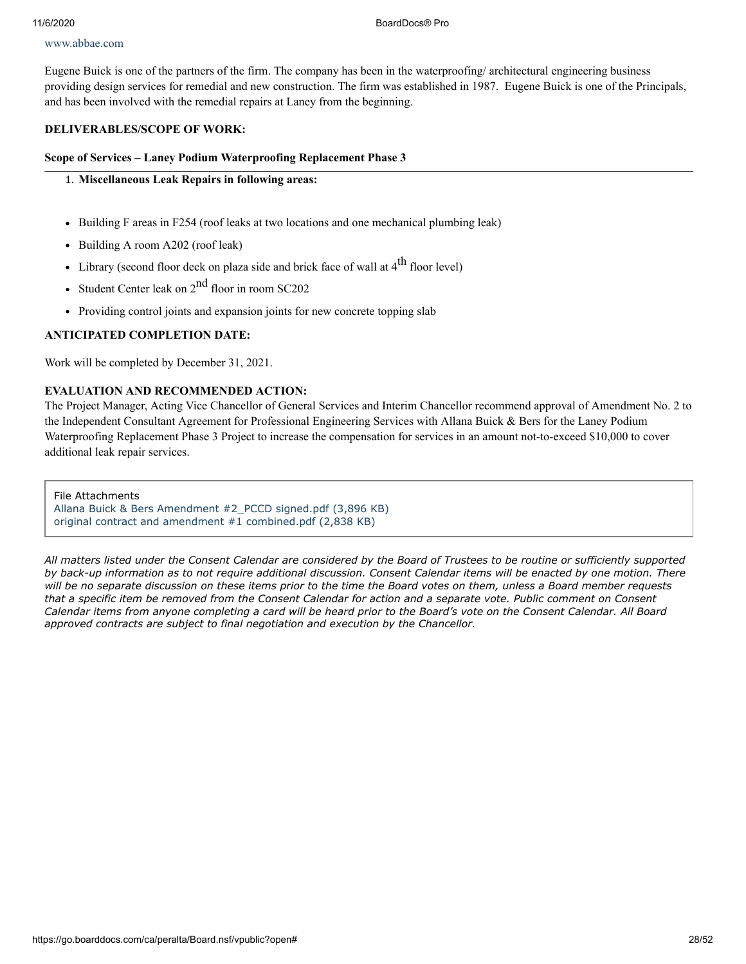#### [www.abbae.com](http://www.abbae.com/)

Eugene Buick is one of the partners of the firm. The company has been in the waterproofing/ architectural engineering business providing design services for remedial and new construction. The firm was established in 1987. Eugene Buick is one of the Principals, and has been involved with the remedial repairs at Laney from the beginning.

#### **DELIVERABLES/SCOPE OF WORK:**

#### **Scope of Services – Laney Podium Waterproofing Replacement Phase 3**

#### 1. **Miscellaneous Leak Repairs in following areas:**

- Building F areas in F254 (roof leaks at two locations and one mechanical plumbing leak)
- Building A room A202 (roof leak)
- Library (second floor deck on plaza side and brick face of wall at  $4^{\text{th}}$  floor level)
- Student Center leak on 2<sup>nd</sup> floor in room SC202
- Providing control joints and expansion joints for new concrete topping slab

### **ANTICIPATED COMPLETION DATE:**

Work will be completed by December 31, 2021.

### **EVALUATION AND RECOMMENDED ACTION:**

The Project Manager, Acting Vice Chancellor of General Services and Interim Chancellor recommend approval of Amendment No. 2 to the Independent Consultant Agreement for Professional Engineering Services with Allana Buick & Bers for the Laney Podium Waterproofing Replacement Phase 3 Project to increase the compensation for services in an amount not-to-exceed \$10,000 to cover additional leak repair services.

File Attachments [Allana Buick & Bers Amendment #2\\_PCCD signed.pdf \(3,896 KB\)](https://go.boarddocs.com/ca/peralta/Board.nsf/files/BUEUZV7E89EA/$file/Allana%20Buick%20%26%20Bers%20Amendment%20%232_PCCD%20signed.pdf) [original contract and amendment #1 combined.pdf \(2,838 KB\)](https://go.boarddocs.com/ca/peralta/Board.nsf/files/BUEV2W7EB084/$file/original%20contract%20and%20amendment%20%231%20combined.pdf)

*All matters listed under the Consent Calendar are considered by the Board of Trustees to be routine or sufficiently supported by back-up information as to not require additional discussion. Consent Calendar items will be enacted by one motion. There will be no separate discussion on these items prior to the time the Board votes on them, unless a Board member requests that a specific item be removed from the Consent Calendar for action and a separate vote. Public comment on Consent Calendar items from anyone completing a card will be heard prior to the Board's vote on the Consent Calendar. All Board approved contracts are subject to final negotiation and execution by the Chancellor.*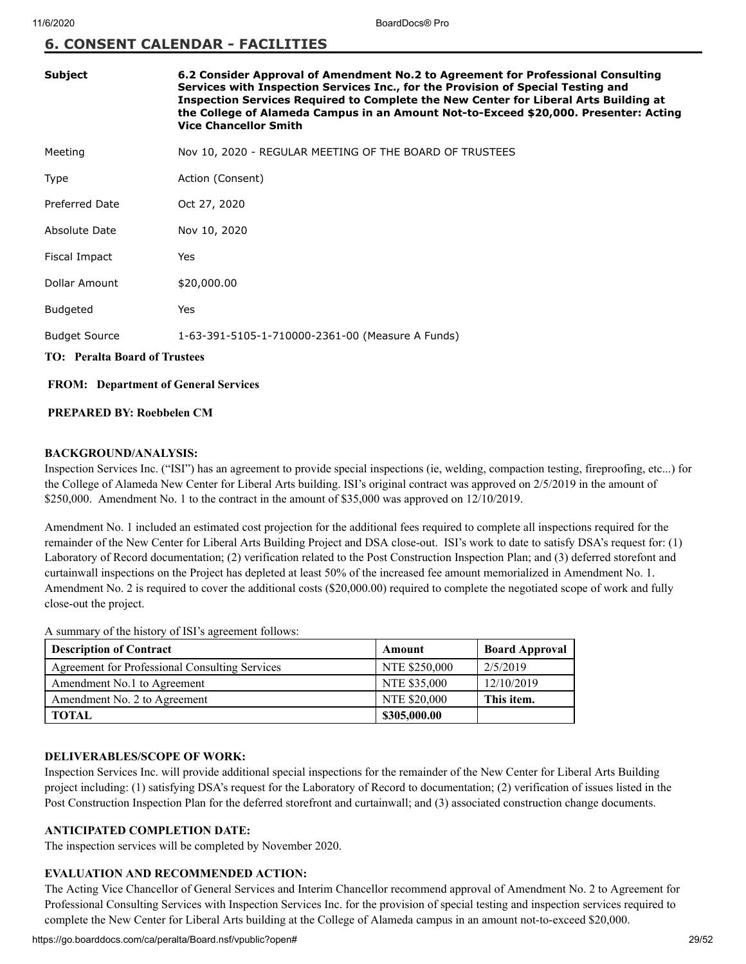#### **6. CONSENT CALENDAR - FACILITIES**

| Subject                              | 6.2 Consider Approval of Amendment No.2 to Agreement for Professional Consulting<br>Services with Inspection Services Inc., for the Provision of Special Testing and<br>Inspection Services Required to Complete the New Center for Liberal Arts Building at<br>the College of Alameda Campus in an Amount Not-to-Exceed \$20,000. Presenter: Acting<br><b>Vice Chancellor Smith</b> |  |
|--------------------------------------|--------------------------------------------------------------------------------------------------------------------------------------------------------------------------------------------------------------------------------------------------------------------------------------------------------------------------------------------------------------------------------------|--|
| Meeting                              | Nov 10, 2020 - REGULAR MEETING OF THE BOARD OF TRUSTEES                                                                                                                                                                                                                                                                                                                              |  |
| Type                                 | Action (Consent)                                                                                                                                                                                                                                                                                                                                                                     |  |
| Preferred Date                       | Oct 27, 2020                                                                                                                                                                                                                                                                                                                                                                         |  |
| Absolute Date                        | Nov 10, 2020                                                                                                                                                                                                                                                                                                                                                                         |  |
| Fiscal Impact                        | Yes                                                                                                                                                                                                                                                                                                                                                                                  |  |
| Dollar Amount                        | \$20,000.00                                                                                                                                                                                                                                                                                                                                                                          |  |
| <b>Budgeted</b>                      | Yes                                                                                                                                                                                                                                                                                                                                                                                  |  |
| <b>Budget Source</b>                 | 1-63-391-5105-1-710000-2361-00 (Measure A Funds)                                                                                                                                                                                                                                                                                                                                     |  |
| <b>TO:</b> Peralta Board of Trustees |                                                                                                                                                                                                                                                                                                                                                                                      |  |

#### **FROM: Department of General Services**

#### **PREPARED BY: Roebbelen CM**

#### **BACKGROUND/ANALYSIS:**

Inspection Services Inc. ("ISI") has an agreement to provide special inspections (ie, welding, compaction testing, fireproofing, etc...) for the College of Alameda New Center for Liberal Arts building. ISI's original contract was approved on 2/5/2019 in the amount of \$250,000. Amendment No. 1 to the contract in the amount of \$35,000 was approved on 12/10/2019.

Amendment No. 1 included an estimated cost projection for the additional fees required to complete all inspections required for the remainder of the New Center for Liberal Arts Building Project and DSA close-out. ISI's work to date to satisfy DSA's request for: (1) Laboratory of Record documentation; (2) verification related to the Post Construction Inspection Plan; and (3) deferred storefont and curtainwall inspections on the Project has depleted at least 50% of the increased fee amount memorialized in Amendment No. 1. Amendment No. 2 is required to cover the additional costs (\$20,000.00) required to complete the negotiated scope of work and fully close-out the project.

A summary of the history of ISI's agreement follows:

| <b>Description of Contract</b>                 | Amount        | <b>Board Approval</b> |
|------------------------------------------------|---------------|-----------------------|
| Agreement for Professional Consulting Services | NTE \$250,000 | 2/5/2019              |
| Amendment No.1 to Agreement                    | NTE \$35,000  | 12/10/2019            |
| Amendment No. 2 to Agreement                   | NTE \$20,000  | This item.            |
| <b>TOTAL</b>                                   | \$305,000.00  |                       |

#### **DELIVERABLES/SCOPE OF WORK:**

Inspection Services Inc. will provide additional special inspections for the remainder of the New Center for Liberal Arts Building project including: (1) satisfying DSA's request for the Laboratory of Record to documentation; (2) verification of issues listed in the Post Construction Inspection Plan for the deferred storefront and curtainwall; and (3) associated construction change documents.

#### **ANTICIPATED COMPLETION DATE:**

The inspection services will be completed by November 2020.

#### **EVALUATION AND RECOMMENDED ACTION:**

The Acting Vice Chancellor of General Services and Interim Chancellor recommend approval of Amendment No. 2 to Agreement for Professional Consulting Services with Inspection Services Inc. for the provision of special testing and inspection services required to complete the New Center for Liberal Arts building at the College of Alameda campus in an amount not-to-exceed \$20,000.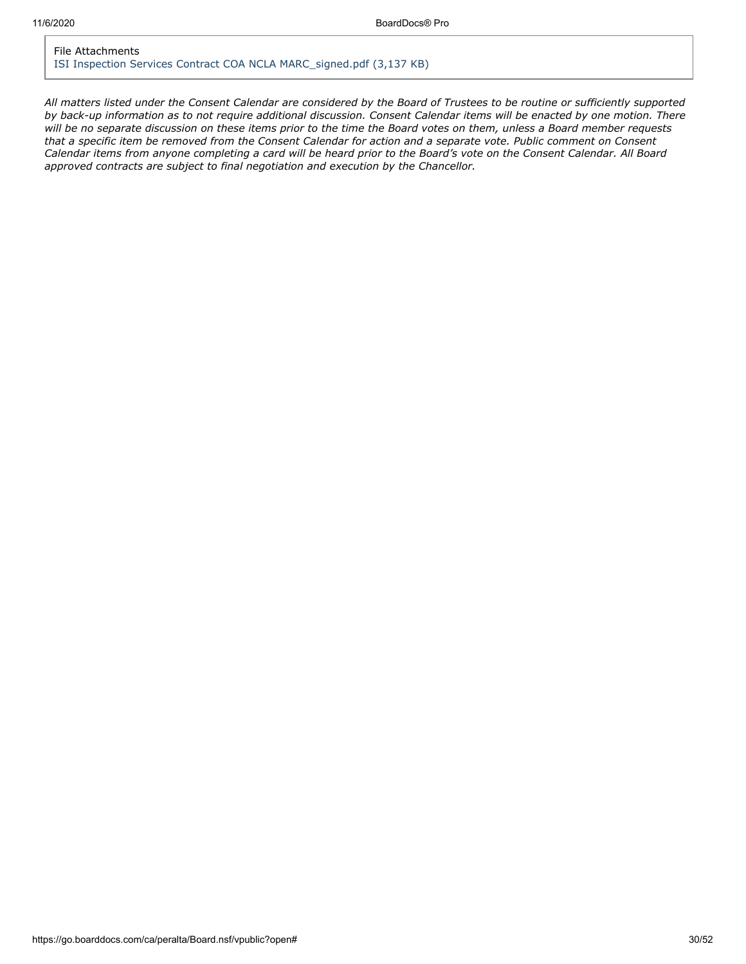#### File Attachments [ISI Inspection Services Contract COA NCLA MARC\\_signed.pdf \(3,137 KB\)](https://go.boarddocs.com/ca/peralta/Board.nsf/files/BURKLP5204AF/$file/ISI%20Inspection%20Services%20Contract%20%20COA%20NCLA%20MARC_signed.pdf)

*All matters listed under the Consent Calendar are considered by the Board of Trustees to be routine or sufficiently supported by back-up information as to not require additional discussion. Consent Calendar items will be enacted by one motion. There will be no separate discussion on these items prior to the time the Board votes on them, unless a Board member requests that a specific item be removed from the Consent Calendar for action and a separate vote. Public comment on Consent Calendar items from anyone completing a card will be heard prior to the Board's vote on the Consent Calendar. All Board approved contracts are subject to final negotiation and execution by the Chancellor.*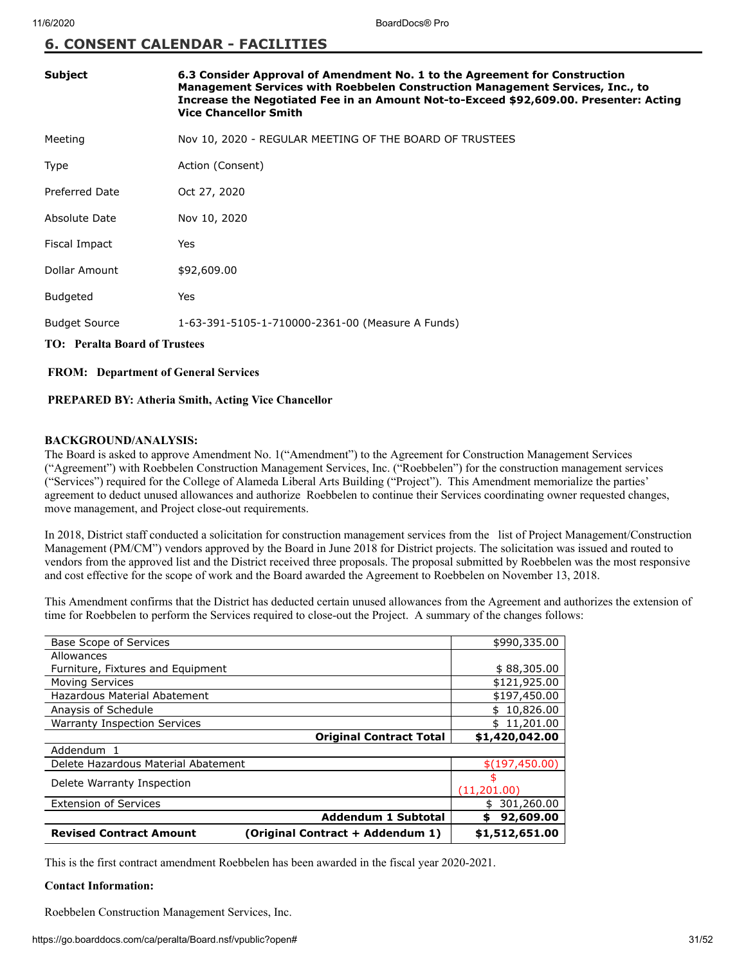#### **6. CONSENT CALENDAR - FACILITIES**

| <b>Subject</b>                       | 6.3 Consider Approval of Amendment No. 1 to the Agreement for Construction<br>Management Services with Roebbelen Construction Management Services, Inc., to<br>Increase the Negotiated Fee in an Amount Not-to-Exceed \$92,609.00. Presenter: Acting<br><b>Vice Chancellor Smith</b> |
|--------------------------------------|--------------------------------------------------------------------------------------------------------------------------------------------------------------------------------------------------------------------------------------------------------------------------------------|
| Meeting                              | Nov 10, 2020 - REGULAR MEETING OF THE BOARD OF TRUSTEES                                                                                                                                                                                                                              |
| Type                                 | Action (Consent)                                                                                                                                                                                                                                                                     |
| <b>Preferred Date</b>                | Oct 27, 2020                                                                                                                                                                                                                                                                         |
| Absolute Date                        | Nov 10, 2020                                                                                                                                                                                                                                                                         |
| Fiscal Impact                        | Yes                                                                                                                                                                                                                                                                                  |
| Dollar Amount                        | \$92,609.00                                                                                                                                                                                                                                                                          |
| <b>Budgeted</b>                      | Yes                                                                                                                                                                                                                                                                                  |
| <b>Budget Source</b>                 | 1-63-391-5105-1-710000-2361-00 (Measure A Funds)                                                                                                                                                                                                                                     |
| <b>TO: Peralta Board of Trustees</b> |                                                                                                                                                                                                                                                                                      |

#### **FROM: Department of General Services**

#### **PREPARED BY: Atheria Smith, Acting Vice Chancellor**

#### **BACKGROUND/ANALYSIS:**

The Board is asked to approve Amendment No. 1("Amendment") to the Agreement for Construction Management Services ("Agreement") with Roebbelen Construction Management Services, Inc. ("Roebbelen") for the construction management services ("Services") required for the College of Alameda Liberal Arts Building ("Project"). This Amendment memorialize the parties' agreement to deduct unused allowances and authorize Roebbelen to continue their Services coordinating owner requested changes, move management, and Project close-out requirements.

In 2018, District staff conducted a solicitation for construction management services from the list of Project Management/Construction Management (PM/CM") vendors approved by the Board in June 2018 for District projects. The solicitation was issued and routed to vendors from the approved list and the District received three proposals. The proposal submitted by Roebbelen was the most responsive and cost effective for the scope of work and the Board awarded the Agreement to Roebbelen on November 13, 2018.

This Amendment confirms that the District has deducted certain unused allowances from the Agreement and authorizes the extension of time for Roebbelen to perform the Services required to close-out the Project. A summary of the changes follows:

| Base Scope of Services                                             | \$990,335.00     |
|--------------------------------------------------------------------|------------------|
| Allowances                                                         |                  |
| Furniture, Fixtures and Equipment                                  | \$88,305.00      |
| <b>Moving Services</b>                                             | \$121,925.00     |
| Hazardous Material Abatement                                       | \$197,450.00     |
| Anaysis of Schedule                                                | 10,826.00<br>\$  |
| <b>Warranty Inspection Services</b>                                | 11,201.00<br>\$  |
| <b>Original Contract Total</b>                                     | \$1,420,042.00   |
| Addendum 1                                                         |                  |
| Delete Hazardous Material Abatement                                | \$(197, 450.00)  |
| Delete Warranty Inspection                                         | \$               |
|                                                                    | (11,201.00)      |
| <b>Extension of Services</b>                                       | 301,260.00<br>\$ |
| <b>Addendum 1 Subtotal</b>                                         | 92,609.00<br>\$  |
| <b>Revised Contract Amount</b><br>(Original Contract + Addendum 1) | \$1,512,651.00   |

This is the first contract amendment Roebbelen has been awarded in the fiscal year 2020-2021.

#### **Contact Information:**

Roebbelen Construction Management Services, Inc.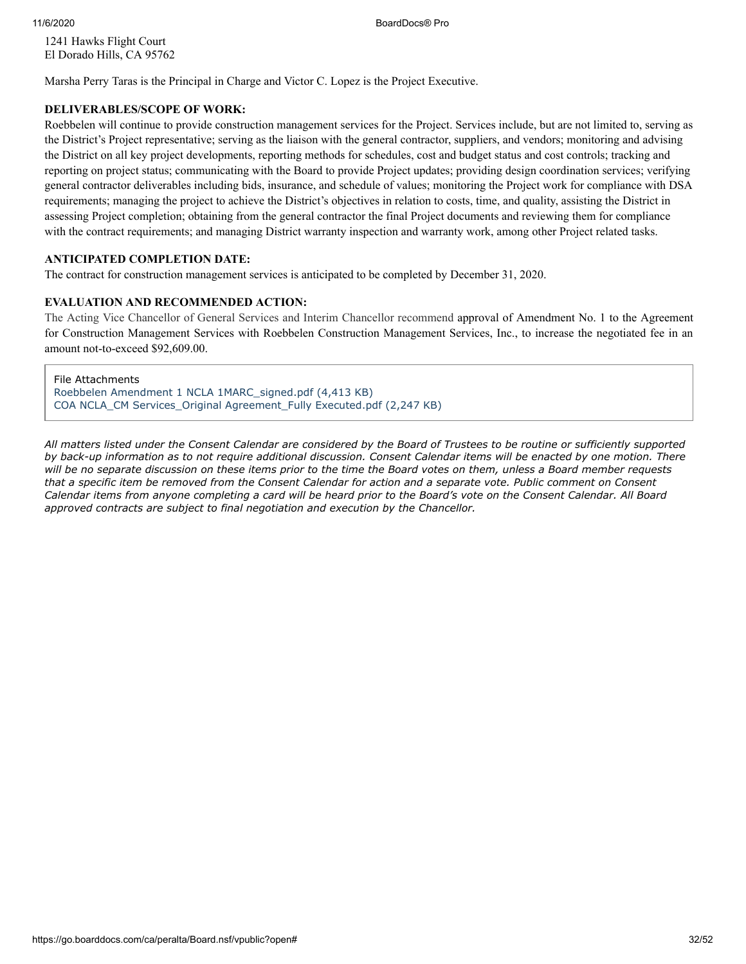11/6/2020 BoardDocs® Pro

1241 Hawks Flight Court El Dorado Hills, CA 95762

Marsha Perry Taras is the Principal in Charge and Victor C. Lopez is the Project Executive.

#### **DELIVERABLES/SCOPE OF WORK:**

Roebbelen will continue to provide construction management services for the Project. Services include, but are not limited to, serving as the District's Project representative; serving as the liaison with the general contractor, suppliers, and vendors; monitoring and advising the District on all key project developments, reporting methods for schedules, cost and budget status and cost controls; tracking and reporting on project status; communicating with the Board to provide Project updates; providing design coordination services; verifying general contractor deliverables including bids, insurance, and schedule of values; monitoring the Project work for compliance with DSA requirements; managing the project to achieve the District's objectives in relation to costs, time, and quality, assisting the District in assessing Project completion; obtaining from the general contractor the final Project documents and reviewing them for compliance with the contract requirements; and managing District warranty inspection and warranty work, among other Project related tasks.

#### **ANTICIPATED COMPLETION DATE:**

The contract for construction management services is anticipated to be completed by December 31, 2020.

#### **EVALUATION AND RECOMMENDED ACTION:**

The Acting Vice Chancellor of General Services and Interim Chancellor recommend approval of Amendment No. 1 to the Agreement for Construction Management Services with Roebbelen Construction Management Services, Inc., to increase the negotiated fee in an amount not-to-exceed \$92,609.00.

File Attachments [Roebbelen Amendment 1 NCLA 1MARC\\_signed.pdf \(4,413 KB\)](https://go.boarddocs.com/ca/peralta/Board.nsf/files/BURL875300AE/$file/Roebbelen%20Amendment%201%20NCLA%201MARC_signed.pdf) [COA NCLA\\_CM Services\\_Original Agreement\\_Fully Executed.pdf \(2,247 KB\)](https://go.boarddocs.com/ca/peralta/Board.nsf/files/BURL89530317/$file/COA%20NCLA_CM%20Services_Original%20Agreement_Fully%20Executed.pdf)

*All matters listed under the Consent Calendar are considered by the Board of Trustees to be routine or sufficiently supported by back-up information as to not require additional discussion. Consent Calendar items will be enacted by one motion. There will be no separate discussion on these items prior to the time the Board votes on them, unless a Board member requests that a specific item be removed from the Consent Calendar for action and a separate vote. Public comment on Consent Calendar items from anyone completing a card will be heard prior to the Board's vote on the Consent Calendar. All Board approved contracts are subject to final negotiation and execution by the Chancellor.*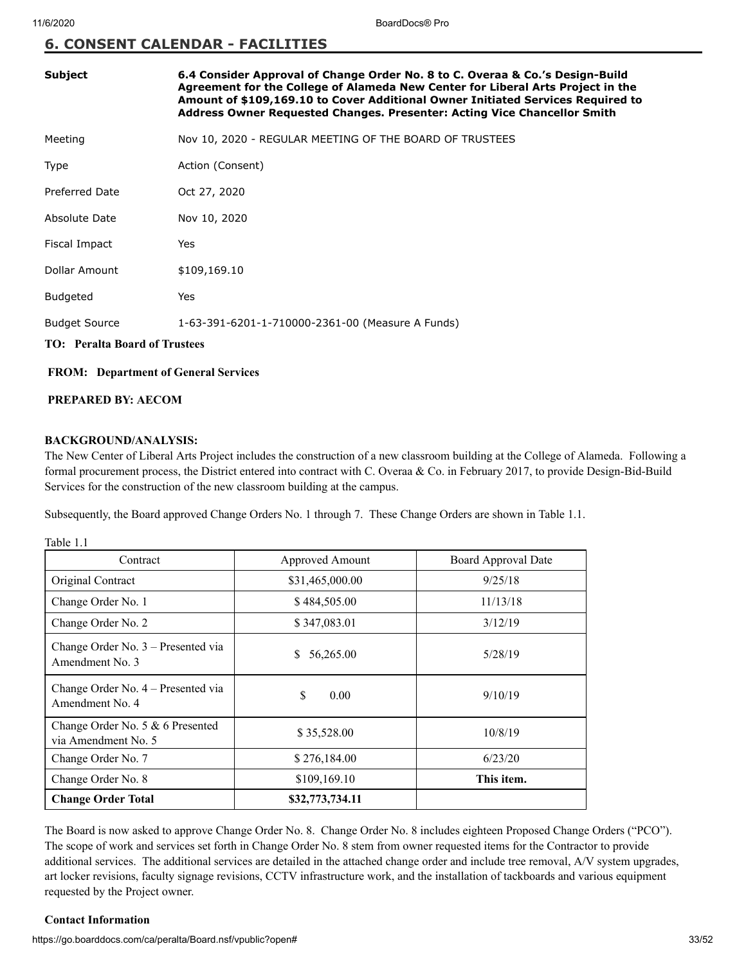#### **6. CONSENT CALENDAR - FACILITIES**

| <b>Subject</b>                       | 6.4 Consider Approval of Change Order No. 8 to C. Overaa & Co.'s Design-Build<br>Agreement for the College of Alameda New Center for Liberal Arts Project in the<br>Amount of \$109,169.10 to Cover Additional Owner Initiated Services Required to<br>Address Owner Requested Changes. Presenter: Acting Vice Chancellor Smith |
|--------------------------------------|---------------------------------------------------------------------------------------------------------------------------------------------------------------------------------------------------------------------------------------------------------------------------------------------------------------------------------|
| Meeting                              | Nov 10, 2020 - REGULAR MEETING OF THE BOARD OF TRUSTEES                                                                                                                                                                                                                                                                         |
| Type                                 | Action (Consent)                                                                                                                                                                                                                                                                                                                |
| Preferred Date                       | Oct 27, 2020                                                                                                                                                                                                                                                                                                                    |
| Absolute Date                        | Nov 10, 2020                                                                                                                                                                                                                                                                                                                    |
| Fiscal Impact                        | Yes                                                                                                                                                                                                                                                                                                                             |
| Dollar Amount                        | \$109,169.10                                                                                                                                                                                                                                                                                                                    |
| <b>Budgeted</b>                      | Yes                                                                                                                                                                                                                                                                                                                             |
| <b>Budget Source</b>                 | 1-63-391-6201-1-710000-2361-00 (Measure A Funds)                                                                                                                                                                                                                                                                                |
| <b>TO: Peralta Board of Trustees</b> |                                                                                                                                                                                                                                                                                                                                 |

#### **FROM: Department of General Services**

#### **PREPARED BY: AECOM**

#### **BACKGROUND/ANALYSIS:**

The New Center of Liberal Arts Project includes the construction of a new classroom building at the College of Alameda. Following a formal procurement process, the District entered into contract with C. Overaa & Co. in February 2017, to provide Design-Bid-Build Services for the construction of the new classroom building at the campus.

Subsequently, the Board approved Change Orders No. 1 through 7. These Change Orders are shown in Table 1.1.

Table 1.1

| Contract                                                | Approved Amount | Board Approval Date |
|---------------------------------------------------------|-----------------|---------------------|
| Original Contract                                       | \$31,465,000.00 | 9/25/18             |
| Change Order No. 1                                      | \$484,505.00    | 11/13/18            |
| Change Order No. 2                                      | \$347,083.01    | 3/12/19             |
| Change Order No. 3 – Presented via<br>Amendment No. 3   | 56,265.00<br>S. | 5/28/19             |
| Change Order No. 4 – Presented via<br>Amendment No. 4   | \$<br>0.00      | 9/10/19             |
| Change Order No. 5 & 6 Presented<br>via Amendment No. 5 | \$35,528.00     | 10/8/19             |
| Change Order No. 7                                      | \$276,184.00    | 6/23/20             |
| Change Order No. 8                                      | \$109,169.10    | This item.          |
| <b>Change Order Total</b>                               | \$32,773,734.11 |                     |

The Board is now asked to approve Change Order No. 8. Change Order No. 8 includes eighteen Proposed Change Orders ("PCO"). The scope of work and services set forth in Change Order No. 8 stem from owner requested items for the Contractor to provide additional services. The additional services are detailed in the attached change order and include tree removal, A/V system upgrades, art locker revisions, faculty signage revisions, CCTV infrastructure work, and the installation of tackboards and various equipment requested by the Project owner.

#### **Contact Information**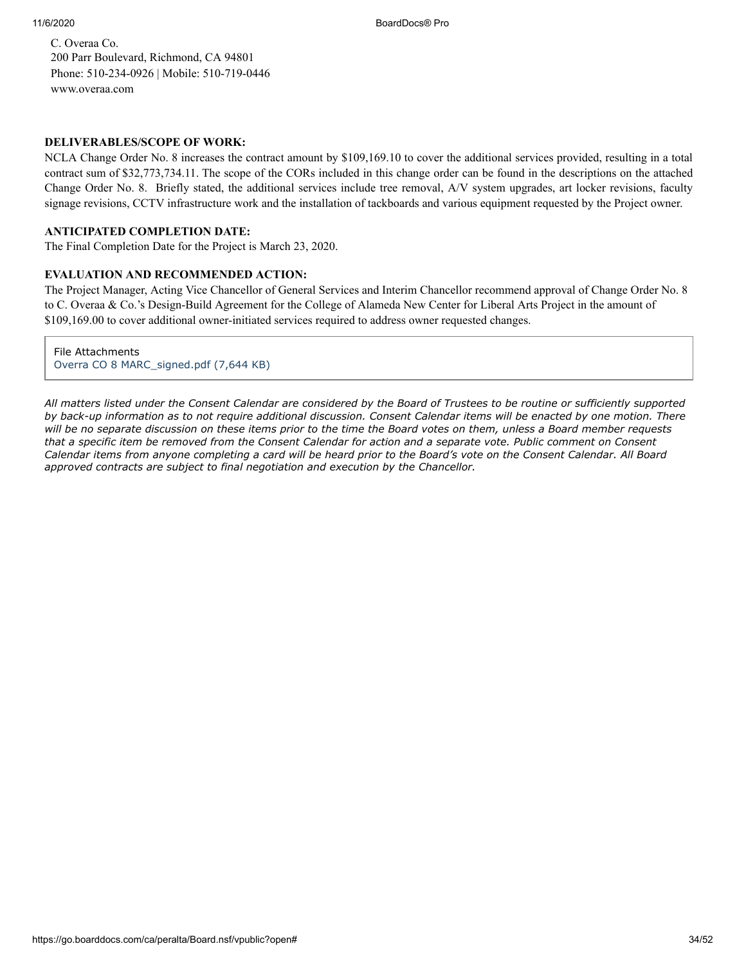C. Overaa Co. 200 Parr Boulevard, Richmond, CA 94801 Phone: 510-234-0926 | Mobile: 510-719-0446 [www.overaa.com](http://www.overaa.com/)

#### **DELIVERABLES/SCOPE OF WORK:**

NCLA Change Order No. 8 increases the contract amount by \$109,169.10 to cover the additional services provided, resulting in a total contract sum of \$32,773,734.11. The scope of the CORs included in this change order can be found in the descriptions on the attached Change Order No. 8. Briefly stated, the additional services include tree removal, A/V system upgrades, art locker revisions, faculty signage revisions, CCTV infrastructure work and the installation of tackboards and various equipment requested by the Project owner.

#### **ANTICIPATED COMPLETION DATE:**

The Final Completion Date for the Project is March 23, 2020.

#### **EVALUATION AND RECOMMENDED ACTION:**

The Project Manager, Acting Vice Chancellor of General Services and Interim Chancellor recommend approval of Change Order No. 8 to C. Overaa & Co.'s Design-Build Agreement for the College of Alameda New Center for Liberal Arts Project in the amount of \$109,169.00 to cover additional owner-initiated services required to address owner requested changes.

File Attachments [Overra CO 8 MARC\\_signed.pdf \(7,644 KB\)](https://go.boarddocs.com/ca/peralta/Board.nsf/files/BURM2F570AC7/$file/Overra%20CO%208%20MARC_signed.pdf)

*All matters listed under the Consent Calendar are considered by the Board of Trustees to be routine or sufficiently supported by back-up information as to not require additional discussion. Consent Calendar items will be enacted by one motion. There will be no separate discussion on these items prior to the time the Board votes on them, unless a Board member requests that a specific item be removed from the Consent Calendar for action and a separate vote. Public comment on Consent Calendar items from anyone completing a card will be heard prior to the Board's vote on the Consent Calendar. All Board approved contracts are subject to final negotiation and execution by the Chancellor.*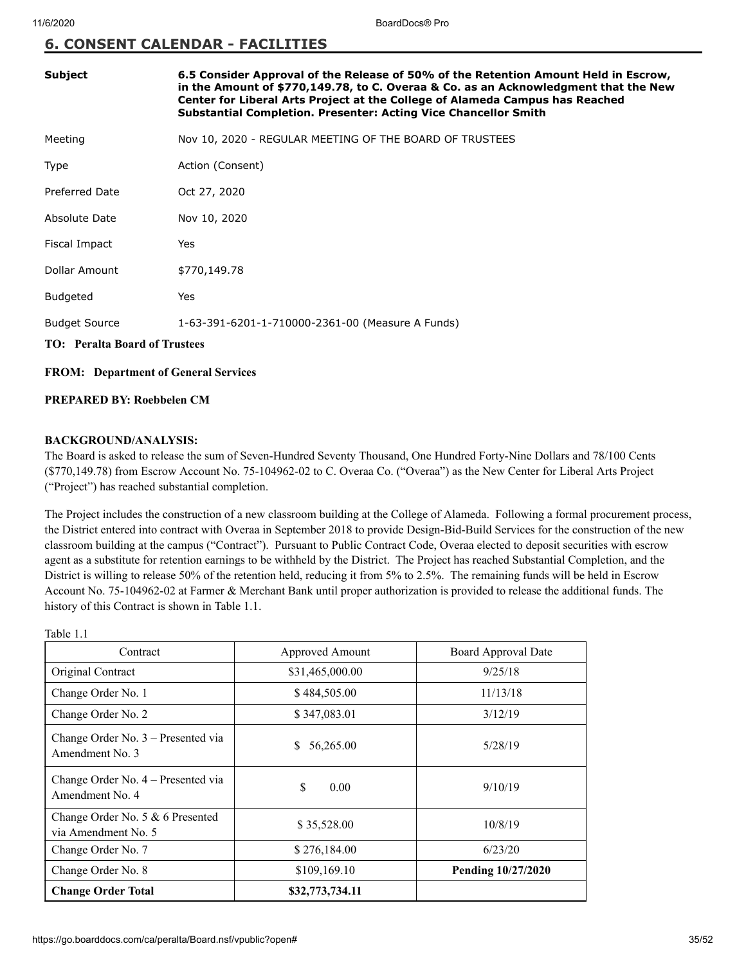#### **6. CONSENT CALENDAR - FACILITIES**

| <b>Subject</b>                       | 6.5 Consider Approval of the Release of 50% of the Retention Amount Held in Escrow,<br>in the Amount of \$770,149.78, to C. Overaa & Co. as an Acknowledgment that the New<br>Center for Liberal Arts Project at the College of Alameda Campus has Reached<br>Substantial Completion. Presenter: Acting Vice Chancellor Smith |  |
|--------------------------------------|-------------------------------------------------------------------------------------------------------------------------------------------------------------------------------------------------------------------------------------------------------------------------------------------------------------------------------|--|
| Meeting                              | Nov 10, 2020 - REGULAR MEETING OF THE BOARD OF TRUSTEES                                                                                                                                                                                                                                                                       |  |
| Type                                 | Action (Consent)                                                                                                                                                                                                                                                                                                              |  |
| Preferred Date                       | Oct 27, 2020                                                                                                                                                                                                                                                                                                                  |  |
| Absolute Date                        | Nov 10, 2020                                                                                                                                                                                                                                                                                                                  |  |
| Fiscal Impact                        | Yes                                                                                                                                                                                                                                                                                                                           |  |
| Dollar Amount                        | \$770,149.78                                                                                                                                                                                                                                                                                                                  |  |
| <b>Budgeted</b>                      | Yes                                                                                                                                                                                                                                                                                                                           |  |
| <b>Budget Source</b>                 | 1-63-391-6201-1-710000-2361-00 (Measure A Funds)                                                                                                                                                                                                                                                                              |  |
| <b>TO: Peralta Board of Trustees</b> |                                                                                                                                                                                                                                                                                                                               |  |

#### **FROM: Department of General Services**

#### **PREPARED BY: Roebbelen CM**

#### **BACKGROUND/ANALYSIS:**

The Board is asked to release the sum of Seven-Hundred Seventy Thousand, One Hundred Forty-Nine Dollars and 78/100 Cents (\$770,149.78) from Escrow Account No. 75-104962-02 to C. Overaa Co. ("Overaa") as the New Center for Liberal Arts Project ("Project") has reached substantial completion.

The Project includes the construction of a new classroom building at the College of Alameda. Following a formal procurement process, the District entered into contract with Overaa in September 2018 to provide Design-Bid-Build Services for the construction of the new classroom building at the campus ("Contract"). Pursuant to Public Contract Code, Overaa elected to deposit securities with escrow agent as a substitute for retention earnings to be withheld by the District. The Project has reached Substantial Completion, and the District is willing to release 50% of the retention held, reducing it from 5% to 2.5%. The remaining funds will be held in Escrow Account No. 75-104962-02 at Farmer & Merchant Bank until proper authorization is provided to release the additional funds. The history of this Contract is shown in Table 1.1.

| Contract                                                | Approved Amount | Board Approval Date |
|---------------------------------------------------------|-----------------|---------------------|
| Original Contract                                       | \$31,465,000.00 | 9/25/18             |
| Change Order No. 1                                      | \$484,505.00    | 11/13/18            |
| Change Order No. 2                                      | \$347,083.01    | 3/12/19             |
| Change Order No. $3$ – Presented via<br>Amendment No. 3 | 56,265.00<br>S. | 5/28/19             |
| Change Order No. 4 – Presented via<br>Amendment No. 4   | S<br>0.00       | 9/10/19             |
| Change Order No. 5 & 6 Presented<br>via Amendment No. 5 | \$35,528.00     | 10/8/19             |
| Change Order No. 7                                      | \$276,184.00    | 6/23/20             |
| Change Order No. 8                                      | \$109,169.10    | Pending 10/27/2020  |
| <b>Change Order Total</b>                               | \$32,773,734.11 |                     |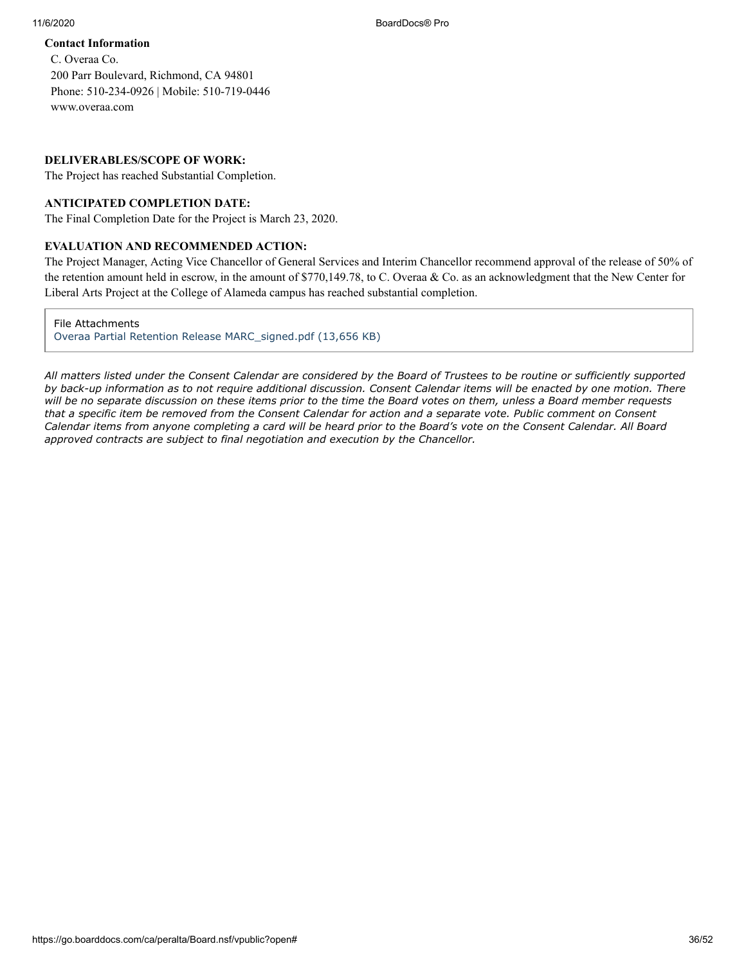#### **Contact Information**

C. Overaa Co. 200 Parr Boulevard, Richmond, CA 94801 Phone: 510-234-0926 | Mobile: 510-719-0446 [www.overaa.com](http://www.overaa.com/)

#### **DELIVERABLES/SCOPE OF WORK:**

The Project has reached Substantial Completion.

#### **ANTICIPATED COMPLETION DATE:**

The Final Completion Date for the Project is March 23, 2020.

#### **EVALUATION AND RECOMMENDED ACTION:**

The Project Manager, Acting Vice Chancellor of General Services and Interim Chancellor recommend approval of the release of 50% of the retention amount held in escrow, in the amount of \$770,149.78, to C. Overaa & Co. as an acknowledgment that the New Center for Liberal Arts Project at the College of Alameda campus has reached substantial completion.

File Attachments

[Overaa Partial Retention Release MARC\\_signed.pdf \(13,656 KB\)](https://go.boarddocs.com/ca/peralta/Board.nsf/files/BUSNUT5CA73D/$file/Overaa%20Partial%20Retention%20Release%20MARC_signed.pdf)

*All matters listed under the Consent Calendar are considered by the Board of Trustees to be routine or sufficiently supported by back-up information as to not require additional discussion. Consent Calendar items will be enacted by one motion. There will be no separate discussion on these items prior to the time the Board votes on them, unless a Board member requests that a specific item be removed from the Consent Calendar for action and a separate vote. Public comment on Consent Calendar items from anyone completing a card will be heard prior to the Board's vote on the Consent Calendar. All Board approved contracts are subject to final negotiation and execution by the Chancellor.*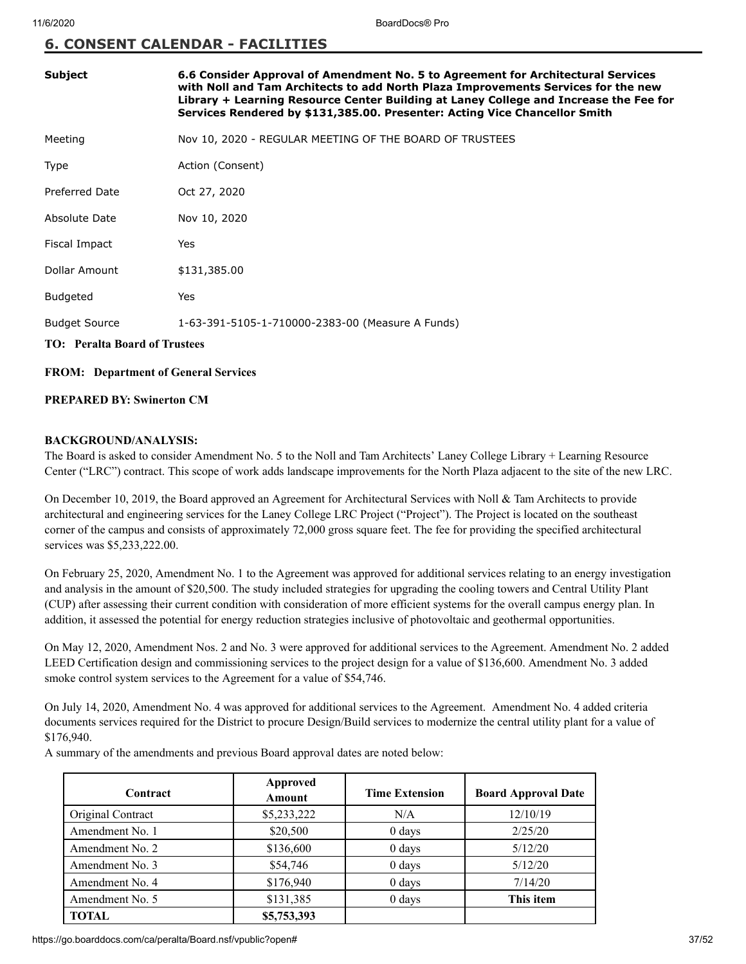#### **6. CONSENT CALENDAR - FACILITIES**

| <b>Subject</b>                       | 6.6 Consider Approval of Amendment No. 5 to Agreement for Architectural Services<br>with Noll and Tam Architects to add North Plaza Improvements Services for the new<br>Library + Learning Resource Center Building at Laney College and Increase the Fee for<br>Services Rendered by \$131,385.00. Presenter: Acting Vice Chancellor Smith |  |
|--------------------------------------|----------------------------------------------------------------------------------------------------------------------------------------------------------------------------------------------------------------------------------------------------------------------------------------------------------------------------------------------|--|
| Meeting                              | Nov 10, 2020 - REGULAR MEETING OF THE BOARD OF TRUSTEES                                                                                                                                                                                                                                                                                      |  |
| Type                                 | Action (Consent)                                                                                                                                                                                                                                                                                                                             |  |
| <b>Preferred Date</b>                | Oct 27, 2020                                                                                                                                                                                                                                                                                                                                 |  |
| Absolute Date                        | Nov 10, 2020                                                                                                                                                                                                                                                                                                                                 |  |
| Fiscal Impact                        | Yes                                                                                                                                                                                                                                                                                                                                          |  |
| Dollar Amount                        | \$131,385.00                                                                                                                                                                                                                                                                                                                                 |  |
| <b>Budgeted</b>                      | Yes                                                                                                                                                                                                                                                                                                                                          |  |
| <b>Budget Source</b>                 | 1-63-391-5105-1-710000-2383-00 (Measure A Funds)                                                                                                                                                                                                                                                                                             |  |
| <b>TO:</b> Peralta Board of Trustees |                                                                                                                                                                                                                                                                                                                                              |  |

#### **FROM: Department of General Services**

#### **PREPARED BY: Swinerton CM**

#### **BACKGROUND/ANALYSIS:**

The Board is asked to consider Amendment No. 5 to the Noll and Tam Architects' Laney College Library + Learning Resource Center ("LRC") contract. This scope of work adds landscape improvements for the North Plaza adjacent to the site of the new LRC.

On December 10, 2019, the Board approved an Agreement for Architectural Services with Noll & Tam Architects to provide architectural and engineering services for the Laney College LRC Project ("Project"). The Project is located on the southeast corner of the campus and consists of approximately 72,000 gross square feet. The fee for providing the specified architectural services was \$5,233,222.00.

On February 25, 2020, Amendment No. 1 to the Agreement was approved for additional services relating to an energy investigation and analysis in the amount of \$20,500. The study included strategies for upgrading the cooling towers and Central Utility Plant (CUP) after assessing their current condition with consideration of more efficient systems for the overall campus energy plan. In addition, it assessed the potential for energy reduction strategies inclusive of photovoltaic and geothermal opportunities.

On May 12, 2020, Amendment Nos. 2 and No. 3 were approved for additional services to the Agreement. Amendment No. 2 added LEED Certification design and commissioning services to the project design for a value of \$136,600. Amendment No. 3 added smoke control system services to the Agreement for a value of \$54,746.

On July 14, 2020, Amendment No. 4 was approved for additional services to the Agreement. Amendment No. 4 added criteria documents services required for the District to procure Design/Build services to modernize the central utility plant for a value of \$176,940.

A summary of the amendments and previous Board approval dates are noted below:

| Contract          | Approved<br><b>Amount</b> | <b>Time Extension</b> | <b>Board Approval Date</b> |
|-------------------|---------------------------|-----------------------|----------------------------|
| Original Contract | \$5,233,222               | N/A                   | 12/10/19                   |
| Amendment No. 1   | \$20,500                  | $0$ days              | 2/25/20                    |
| Amendment No. 2   | \$136,600                 | $0$ days              | 5/12/20                    |
| Amendment No. 3   | \$54,746                  | $0$ days              | 5/12/20                    |
| Amendment No. 4   | \$176,940                 | 0 days                | 7/14/20                    |
| Amendment No. 5   | \$131,385                 | $0 \text{ days}$      | This item                  |
| <b>TOTAL</b>      | \$5,753,393               |                       |                            |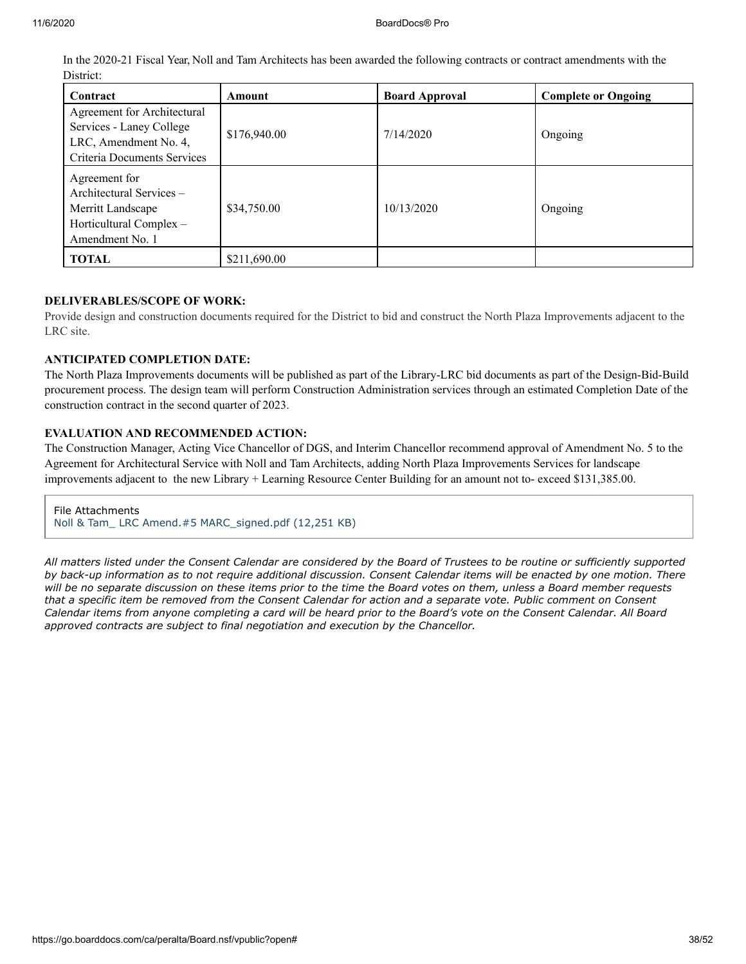In the 2020-21 Fiscal Year, Noll and Tam Architects has been awarded the following contracts or contract amendments with the District:

| Contract                                                                                                        | Amount       | <b>Board Approval</b> | <b>Complete or Ongoing</b> |
|-----------------------------------------------------------------------------------------------------------------|--------------|-----------------------|----------------------------|
| Agreement for Architectural<br>Services - Laney College<br>LRC, Amendment No. 4,<br>Criteria Documents Services | \$176,940.00 | 7/14/2020             | Ongoing                    |
| Agreement for<br>Architectural Services -<br>Merritt Landscape<br>Horticultural Complex -<br>Amendment No. 1    | \$34,750.00  | 10/13/2020            | Ongoing                    |
| TOTAL                                                                                                           | \$211,690.00 |                       |                            |

#### **DELIVERABLES/SCOPE OF WORK:**

Provide design and construction documents required for the District to bid and construct the North Plaza Improvements adjacent to the LRC site.

#### **ANTICIPATED COMPLETION DATE:**

The North Plaza Improvements documents will be published as part of the Library-LRC bid documents as part of the Design-Bid-Build procurement process. The design team will perform Construction Administration services through an estimated Completion Date of the construction contract in the second quarter of 2023.

#### **EVALUATION AND RECOMMENDED ACTION:**

The Construction Manager, Acting Vice Chancellor of DGS, and Interim Chancellor recommend approval of Amendment No. 5 to the Agreement for Architectural Service with Noll and Tam Architects, adding North Plaza Improvements Services for landscape improvements adjacent to the new Library + Learning Resource Center Building for an amount not to- exceed \$131,385.00.

File Attachments [Noll & Tam\\_ LRC Amend.#5 MARC\\_signed.pdf \(12,251 KB\)](https://go.boarddocs.com/ca/peralta/Board.nsf/files/BUTTUU791C9F/$file/Noll%20%26%20Tam_%20LRC%20Amend.%235%20MARC_signed.pdf)

*All matters listed under the Consent Calendar are considered by the Board of Trustees to be routine or sufficiently supported by back-up information as to not require additional discussion. Consent Calendar items will be enacted by one motion. There will be no separate discussion on these items prior to the time the Board votes on them, unless a Board member requests that a specific item be removed from the Consent Calendar for action and a separate vote. Public comment on Consent Calendar items from anyone completing a card will be heard prior to the Board's vote on the Consent Calendar. All Board approved contracts are subject to final negotiation and execution by the Chancellor.*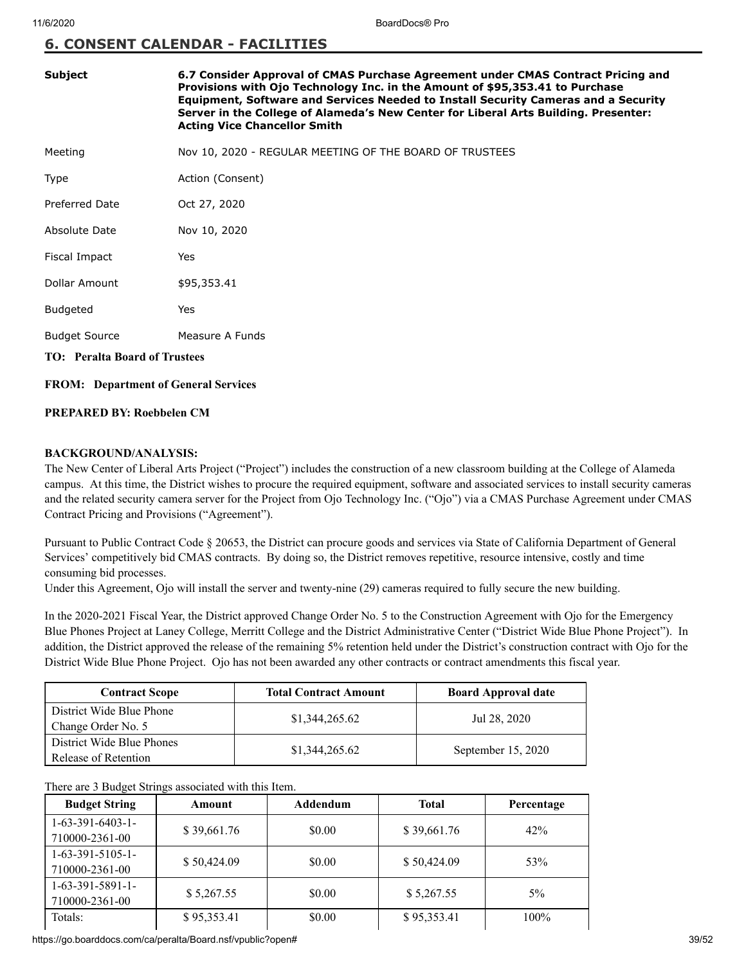#### **6. CONSENT CALENDAR - FACILITIES**

| <b>Subject</b>                       | 6.7 Consider Approval of CMAS Purchase Agreement under CMAS Contract Pricing and<br>Provisions with Ojo Technology Inc. in the Amount of \$95,353.41 to Purchase<br>Equipment, Software and Services Needed to Install Security Cameras and a Security<br>Server in the College of Alameda's New Center for Liberal Arts Building. Presenter:<br><b>Acting Vice Chancellor Smith</b> |
|--------------------------------------|--------------------------------------------------------------------------------------------------------------------------------------------------------------------------------------------------------------------------------------------------------------------------------------------------------------------------------------------------------------------------------------|
| Meeting                              | Nov 10, 2020 - REGULAR MEETING OF THE BOARD OF TRUSTEES                                                                                                                                                                                                                                                                                                                              |
| Type                                 | Action (Consent)                                                                                                                                                                                                                                                                                                                                                                     |
| Preferred Date                       | Oct 27, 2020                                                                                                                                                                                                                                                                                                                                                                         |
| Absolute Date                        | Nov 10, 2020                                                                                                                                                                                                                                                                                                                                                                         |
| Fiscal Impact                        | Yes                                                                                                                                                                                                                                                                                                                                                                                  |
| Dollar Amount                        | \$95,353.41                                                                                                                                                                                                                                                                                                                                                                          |
| <b>Budgeted</b>                      | Yes                                                                                                                                                                                                                                                                                                                                                                                  |
| <b>Budget Source</b>                 | Measure A Funds                                                                                                                                                                                                                                                                                                                                                                      |
| <b>TO:</b> Peralta Board of Trustees |                                                                                                                                                                                                                                                                                                                                                                                      |

**FROM: Department of General Services**

#### **PREPARED BY: Roebbelen CM**

#### **BACKGROUND/ANALYSIS:**

The New Center of Liberal Arts Project ("Project") includes the construction of a new classroom building at the College of Alameda campus. At this time, the District wishes to procure the required equipment, software and associated services to install security cameras and the related security camera server for the Project from Ojo Technology Inc. ("Ojo") via a CMAS Purchase Agreement under CMAS Contract Pricing and Provisions ("Agreement").

Pursuant to Public Contract Code § 20653, the District can procure goods and services via State of California Department of General Services' competitively bid CMAS contracts. By doing so, the District removes repetitive, resource intensive, costly and time consuming bid processes.

Under this Agreement, Ojo will install the server and twenty-nine (29) cameras required to fully secure the new building.

In the 2020-2021 Fiscal Year, the District approved Change Order No. 5 to the Construction Agreement with Ojo for the Emergency Blue Phones Project at Laney College, Merritt College and the District Administrative Center ("District Wide Blue Phone Project"). In addition, the District approved the release of the remaining 5% retention held under the District's construction contract with Ojo for the District Wide Blue Phone Project. Ojo has not been awarded any other contracts or contract amendments this fiscal year.

| <b>Contract Scope</b>                             | <b>Total Contract Amount</b> | <b>Board Approval date</b> |
|---------------------------------------------------|------------------------------|----------------------------|
| District Wide Blue Phone<br>Change Order No. 5    | \$1,344,265.62               | Jul 28, 2020               |
| District Wide Blue Phones<br>Release of Retention | \$1,344,265.62               | September 15, 2020         |

#### There are 3 Budget Strings associated with this Item.

| <b>Budget String</b>                 | Amount      | Addendum | <b>Total</b> | Percentage |
|--------------------------------------|-------------|----------|--------------|------------|
| $1-63-391-6403-1-$<br>710000-2361-00 | \$39,661.76 | \$0.00   | \$39,661.76  | 42%        |
| $1-63-391-5105-1-$<br>710000-2361-00 | \$50,424.09 | \$0.00   | \$50,424.09  | 53%        |
| $1-63-391-5891-1-$<br>710000-2361-00 | \$5,267.55  | \$0.00   | \$5,267.55   | $5\%$      |
| Totals:                              | \$95,353.41 | \$0.00   | \$95,353.41  | $100\%$    |

https://go.boarddocs.com/ca/peralta/Board.nsf/vpublic?open# 39/52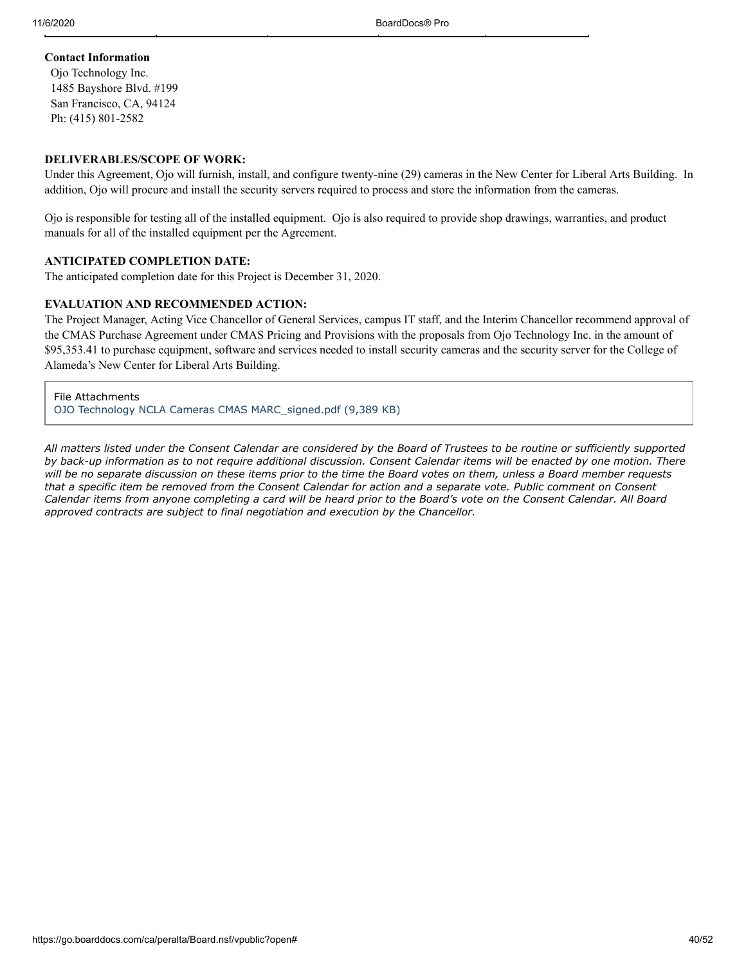#### **Contact Information**

Ojo Technology Inc. 1485 Bayshore Blvd. #199 San Francisco, CA, 94124 Ph: (415) 801-2582

#### **DELIVERABLES/SCOPE OF WORK:**

Under this Agreement, Ojo will furnish, install, and configure twenty-nine (29) cameras in the New Center for Liberal Arts Building. In addition, Ojo will procure and install the security servers required to process and store the information from the cameras.

Ojo is responsible for testing all of the installed equipment. Ojo is also required to provide shop drawings, warranties, and product manuals for all of the installed equipment per the Agreement.

#### **ANTICIPATED COMPLETION DATE:**

The anticipated completion date for this Project is December 31, 2020.

#### **EVALUATION AND RECOMMENDED ACTION:**

The Project Manager, Acting Vice Chancellor of General Services, campus IT staff, and the Interim Chancellor recommend approval of the CMAS Purchase Agreement under CMAS Pricing and Provisions with the proposals from Ojo Technology Inc. in the amount of \$95,353.41 to purchase equipment, software and services needed to install security cameras and the security server for the College of Alameda's New Center for Liberal Arts Building.

File Attachments [OJO Technology NCLA Cameras CMAS MARC\\_signed.pdf \(9,389 KB\)](https://go.boarddocs.com/ca/peralta/Board.nsf/files/BUSNPN5B81A7/$file/OJO%20Technology%20NCLA%20Cameras%20CMAS%20MARC_signed.pdf)

*All matters listed under the Consent Calendar are considered by the Board of Trustees to be routine or sufficiently supported by back-up information as to not require additional discussion. Consent Calendar items will be enacted by one motion. There will be no separate discussion on these items prior to the time the Board votes on them, unless a Board member requests that a specific item be removed from the Consent Calendar for action and a separate vote. Public comment on Consent Calendar items from anyone completing a card will be heard prior to the Board's vote on the Consent Calendar. All Board approved contracts are subject to final negotiation and execution by the Chancellor.*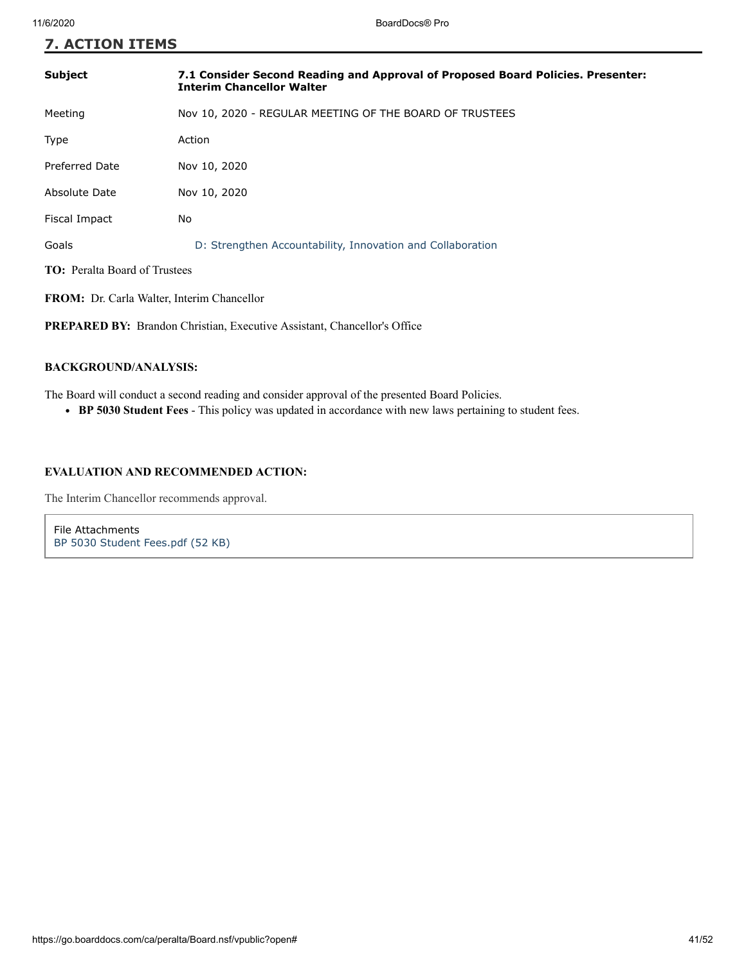| <b>7. ACTION ITEMS</b>                                                          |                                                                                                                     |  |  |
|---------------------------------------------------------------------------------|---------------------------------------------------------------------------------------------------------------------|--|--|
| <b>Subject</b>                                                                  | 7.1 Consider Second Reading and Approval of Proposed Board Policies. Presenter:<br><b>Interim Chancellor Walter</b> |  |  |
| Meeting                                                                         | Nov 10, 2020 - REGULAR MEETING OF THE BOARD OF TRUSTEES                                                             |  |  |
| Type                                                                            | Action                                                                                                              |  |  |
| <b>Preferred Date</b>                                                           | Nov 10, 2020                                                                                                        |  |  |
| Absolute Date                                                                   | Nov 10, 2020                                                                                                        |  |  |
| Fiscal Impact                                                                   | No                                                                                                                  |  |  |
| Goals                                                                           | D: Strengthen Accountability, Innovation and Collaboration                                                          |  |  |
| <b>TO:</b> Peralta Board of Trustees                                            |                                                                                                                     |  |  |
| <b>FROM:</b> Dr. Carla Walter, Interim Chancellor                               |                                                                                                                     |  |  |
| <b>PREPARED BY:</b> Brandon Christian, Executive Assistant, Chancellor's Office |                                                                                                                     |  |  |
|                                                                                 |                                                                                                                     |  |  |

#### **BACKGROUND/ANALYSIS:**

The Board will conduct a second reading and consider approval of the presented Board Policies.

**BP 5030 Student Fees** - This policy was updated in accordance with new laws pertaining to student fees.

#### **EVALUATION AND RECOMMENDED ACTION:**

The Interim Chancellor recommends approval.

File Attachments [BP 5030 Student Fees.pdf \(52 KB\)](https://go.boarddocs.com/ca/peralta/Board.nsf/files/BUS2HX025401/$file/BP%205030%20Student%20Fees.pdf)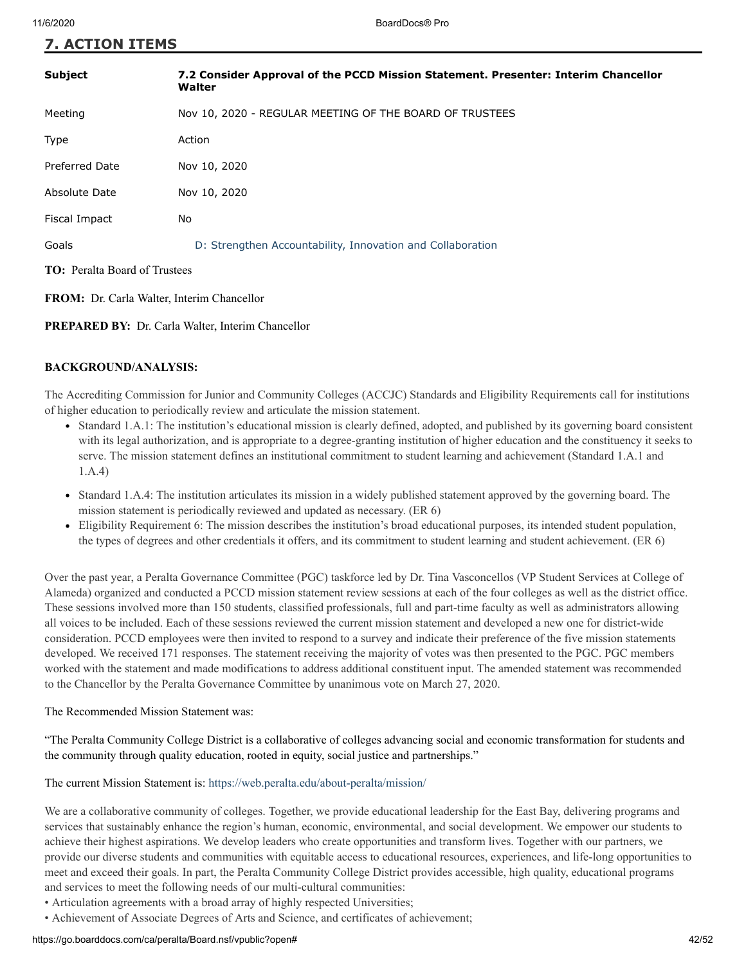| <b>7. ACTION ITEMS</b> |  |
|------------------------|--|
|------------------------|--|

| <b>Subject</b>                       | 7.2 Consider Approval of the PCCD Mission Statement. Presenter: Interim Chancellor<br>Walter |  |
|--------------------------------------|----------------------------------------------------------------------------------------------|--|
| Meeting                              | Nov 10, 2020 - REGULAR MEETING OF THE BOARD OF TRUSTEES                                      |  |
| Type                                 | Action                                                                                       |  |
| <b>Preferred Date</b>                | Nov 10, 2020                                                                                 |  |
| Absolute Date                        | Nov 10, 2020                                                                                 |  |
| Fiscal Impact                        | No                                                                                           |  |
| Goals                                | D: Strengthen Accountability, Innovation and Collaboration                                   |  |
| <b>TO:</b> Peralta Board of Trustees |                                                                                              |  |

**FROM:** Dr. Carla Walter, Interim Chancellor

**PREPARED BY:** Dr. Carla Walter, Interim Chancellor

#### **BACKGROUND/ANALYSIS:**

The Accrediting Commission for Junior and Community Colleges (ACCJC) Standards and Eligibility Requirements call for institutions of higher education to periodically review and articulate the mission statement.

- Standard 1.A.1: The institution's educational mission is clearly defined, adopted, and published by its governing board consistent with its legal authorization, and is appropriate to a degree-granting institution of higher education and the constituency it seeks to serve. The mission statement defines an institutional commitment to student learning and achievement (Standard 1.A.1 and 1.A.4)
- Standard 1.A.4: The institution articulates its mission in a widely published statement approved by the governing board. The mission statement is periodically reviewed and updated as necessary. (ER 6)
- Eligibility Requirement 6: The mission describes the institution's broad educational purposes, its intended student population, the types of degrees and other credentials it offers, and its commitment to student learning and student achievement. (ER 6)

Over the past year, a Peralta Governance Committee (PGC) taskforce led by Dr. Tina Vasconcellos (VP Student Services at College of Alameda) organized and conducted a PCCD mission statement review sessions at each of the four colleges as well as the district office. These sessions involved more than 150 students, classified professionals, full and part-time faculty as well as administrators allowing all voices to be included. Each of these sessions reviewed the current mission statement and developed a new one for district-wide consideration. PCCD employees were then invited to respond to a survey and indicate their preference of the five mission statements developed. We received 171 responses. The statement receiving the majority of votes was then presented to the PGC. PGC members worked with the statement and made modifications to address additional constituent input. The amended statement was recommended to the Chancellor by the Peralta Governance Committee by unanimous vote on March 27, 2020.

#### The Recommended Mission Statement was:

"The Peralta Community College District is a collaborative of colleges advancing social and economic transformation for students and the community through quality education, rooted in equity, social justice and partnerships."

#### The current Mission Statement is:<https://web.peralta.edu/about-peralta/mission/>

We are a collaborative community of colleges. Together, we provide educational leadership for the East Bay, delivering programs and services that sustainably enhance the region's human, economic, environmental, and social development. We empower our students to achieve their highest aspirations. We develop leaders who create opportunities and transform lives. Together with our partners, we provide our diverse students and communities with equitable access to educational resources, experiences, and life-long opportunities to meet and exceed their goals. In part, the Peralta Community College District provides accessible, high quality, educational programs and services to meet the following needs of our multi-cultural communities:

• Articulation agreements with a broad array of highly respected Universities;

• Achievement of Associate Degrees of Arts and Science, and certificates of achievement;

#### https://go.boarddocs.com/ca/peralta/Board.nsf/vpublic?open# 42/52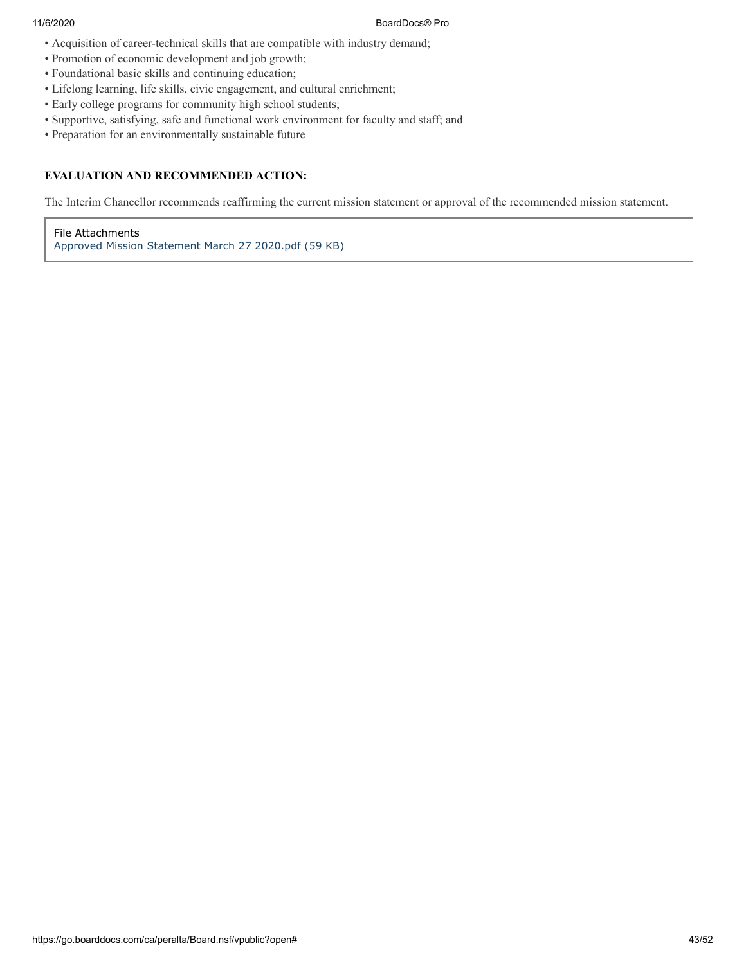#### 11/6/2020 BoardDocs® Pro

- Acquisition of career-technical skills that are compatible with industry demand;
- Promotion of economic development and job growth;
- Foundational basic skills and continuing education;
- Lifelong learning, life skills, civic engagement, and cultural enrichment;
- Early college programs for community high school students;
- Supportive, satisfying, safe and functional work environment for faculty and staff; and
- Preparation for an environmentally sustainable future

#### **EVALUATION AND RECOMMENDED ACTION:**

The Interim Chancellor recommends reaffirming the current mission statement or approval of the recommended mission statement.

File Attachments [Approved Mission Statement March 27 2020.pdf \(59 KB\)](https://go.boarddocs.com/ca/peralta/Board.nsf/files/BV2PB763C327/$file/Approved%20Mission%20Statement%20March%2027%202020.pdf)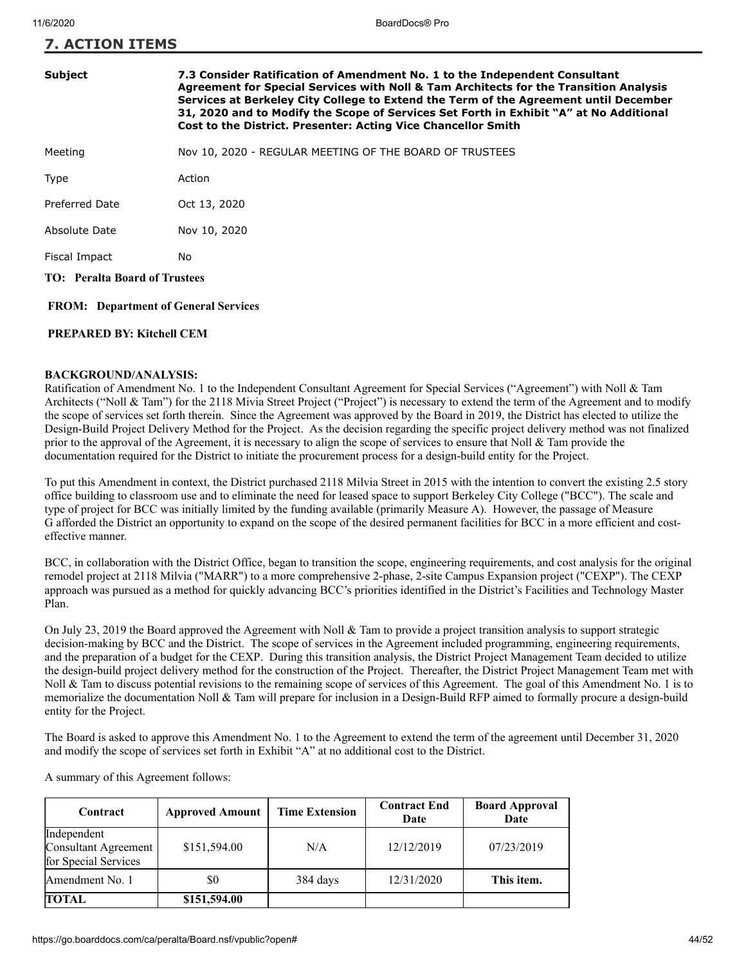| <b>7. ACTION ITEMS</b> |                                                                                                                                                                                                                                                                                                                                                                                                                        |  |  |
|------------------------|------------------------------------------------------------------------------------------------------------------------------------------------------------------------------------------------------------------------------------------------------------------------------------------------------------------------------------------------------------------------------------------------------------------------|--|--|
| <b>Subject</b>         | 7.3 Consider Ratification of Amendment No. 1 to the Independent Consultant<br>Agreement for Special Services with Noll & Tam Architects for the Transition Analysis<br>Services at Berkeley City College to Extend the Term of the Agreement until December<br>31, 2020 and to Modify the Scope of Services Set Forth in Exhibit "A" at No Additional<br>Cost to the District. Presenter: Acting Vice Chancellor Smith |  |  |
| Meeting                | Nov 10, 2020 - REGULAR MEETING OF THE BOARD OF TRUSTEES                                                                                                                                                                                                                                                                                                                                                                |  |  |
| Type                   | Action                                                                                                                                                                                                                                                                                                                                                                                                                 |  |  |
| Preferred Date         | Oct 13, 2020                                                                                                                                                                                                                                                                                                                                                                                                           |  |  |

Absolute Date Nov 10, 2020

Fiscal Impact No

**TO: Peralta Board of Trustees**

 **FROM: Department of General Services**

#### **PREPARED BY: Kitchell CEM**

#### **BACKGROUND/ANALYSIS:**

Ratification of Amendment No. 1 to the Independent Consultant Agreement for Special Services ("Agreement") with Noll & Tam Architects ("Noll & Tam") for the 2118 Mivia Street Project ("Project") is necessary to extend the term of the Agreement and to modify the scope of services set forth therein. Since the Agreement was approved by the Board in 2019, the District has elected to utilize the Design-Build Project Delivery Method for the Project. As the decision regarding the specific project delivery method was not finalized prior to the approval of the Agreement, it is necessary to align the scope of services to ensure that Noll  $\&$  Tam provide the documentation required for the District to initiate the procurement process for a design-build entity for the Project.

To put this Amendment in context, the District purchased 2118 Milvia Street in 2015 with the intention to convert the existing 2.5 story office building to classroom use and to eliminate the need for leased space to support Berkeley City College ("BCC"). The scale and type of project for BCC was initially limited by the funding available (primarily Measure A). However, the passage of Measure G afforded the District an opportunity to expand on the scope of the desired permanent facilities for BCC in a more efficient and costeffective manner.

BCC, in collaboration with the District Office, began to transition the scope, engineering requirements, and cost analysis for the original remodel project at 2118 Milvia ("MARR") to a more comprehensive 2-phase, 2-site Campus Expansion project ("CEXP"). The CEXP approach was pursued as a method for quickly advancing BCC's priorities identified in the District's Facilities and Technology Master Plan.

On July 23, 2019 the Board approved the Agreement with Noll & Tam to provide a project transition analysis to support strategic decision-making by BCC and the District. The scope of services in the Agreement included programming, engineering requirements, and the preparation of a budget for the CEXP. During this transition analysis, the District Project Management Team decided to utilize the design-build project delivery method for the construction of the Project. Thereafter, the District Project Management Team met with Noll & Tam to discuss potential revisions to the remaining scope of services of this Agreement. The goal of this Amendment No. 1 is to memorialize the documentation Noll & Tam will prepare for inclusion in a Design-Build RFP aimed to formally procure a design-build entity for the Project.

The Board is asked to approve this Amendment No. 1 to the Agreement to extend the term of the agreement until December 31, 2020 and modify the scope of services set forth in Exhibit "A" at no additional cost to the District.

| Contract                                                           | <b>Approved Amount</b> | <b>Time Extension</b> | <b>Contract End</b><br>Date | <b>Board Approval</b><br>Date |
|--------------------------------------------------------------------|------------------------|-----------------------|-----------------------------|-------------------------------|
| Independent<br><b>Consultant Agreement</b><br>for Special Services | \$151,594.00           | N/A                   | 12/12/2019                  | 07/23/2019                    |
| Amendment No. 1                                                    | \$0                    | 384 days              | 12/31/2020                  | This item.                    |
| <b>TOTAL</b>                                                       | \$151,594.00           |                       |                             |                               |

A summary of this Agreement follows: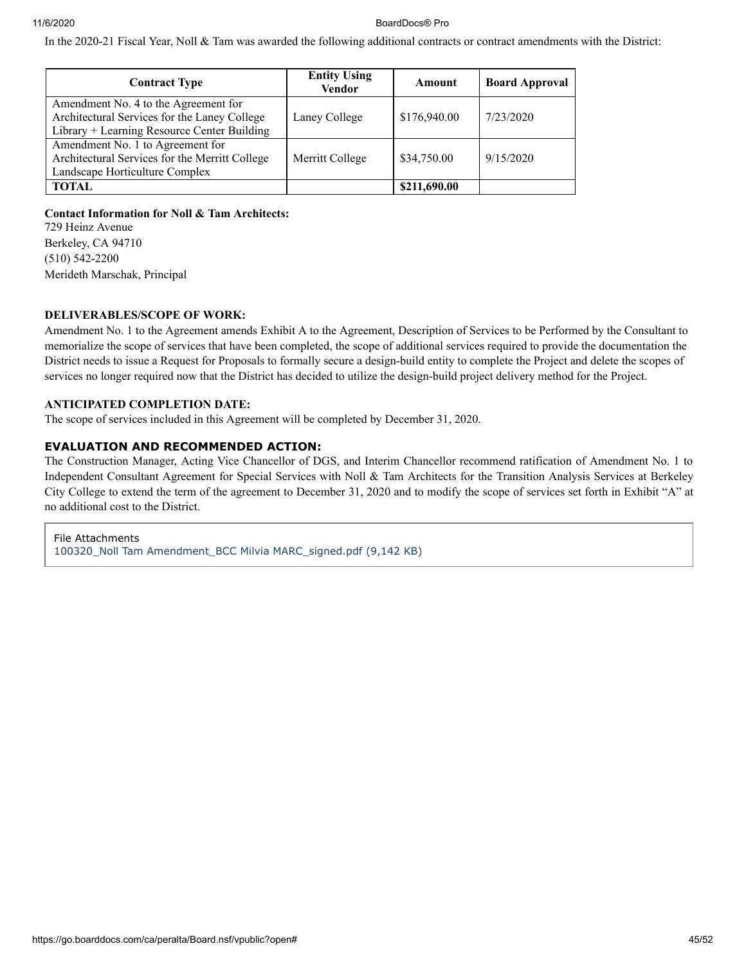#### 11/6/2020 BoardDocs® Pro

In the 2020-21 Fiscal Year, Noll & Tam was awarded the following additional contracts or contract amendments with the District:

| <b>Contract Type</b>                                                                                                                | <b>Entity Using</b><br><b>Vendor</b> | Amount       | <b>Board Approval</b> |
|-------------------------------------------------------------------------------------------------------------------------------------|--------------------------------------|--------------|-----------------------|
| Amendment No. 4 to the Agreement for<br>Architectural Services for the Laney College<br>Library + Learning Resource Center Building | Laney College                        | \$176,940.00 | 7/23/2020             |
| Amendment No. 1 to Agreement for<br>Architectural Services for the Merritt College<br>Landscape Horticulture Complex                | Merritt College                      | \$34,750.00  | 9/15/2020             |
| <b>TOTAL</b>                                                                                                                        |                                      | \$211,690.00 |                       |

#### **Contact Information for Noll & Tam Architects:**

729 Heinz Avenue Berkeley, CA 94710 (510) 542-2200 Merideth Marschak, Principal

#### **DELIVERABLES/SCOPE OF WORK:**

Amendment No. 1 to the Agreement amends Exhibit A to the Agreement, Description of Services to be Performed by the Consultant to memorialize the scope of services that have been completed, the scope of additional services required to provide the documentation the District needs to issue a Request for Proposals to formally secure a design-build entity to complete the Project and delete the scopes of services no longer required now that the District has decided to utilize the design-build project delivery method for the Project.

#### **ANTICIPATED COMPLETION DATE:**

The scope of services included in this Agreement will be completed by December 31, 2020.

#### **EVALUATION AND RECOMMENDED ACTION:**

The Construction Manager, Acting Vice Chancellor of DGS, and Interim Chancellor recommend ratification of Amendment No. 1 to Independent Consultant Agreement for Special Services with Noll & Tam Architects for the Transition Analysis Services at Berkeley City College to extend the term of the agreement to December 31, 2020 and to modify the scope of services set forth in Exhibit "A" at no additional cost to the District.

File Attachments 100320 Noll Tam Amendment BCC Milvia MARC signed.pdf (9,142 KB)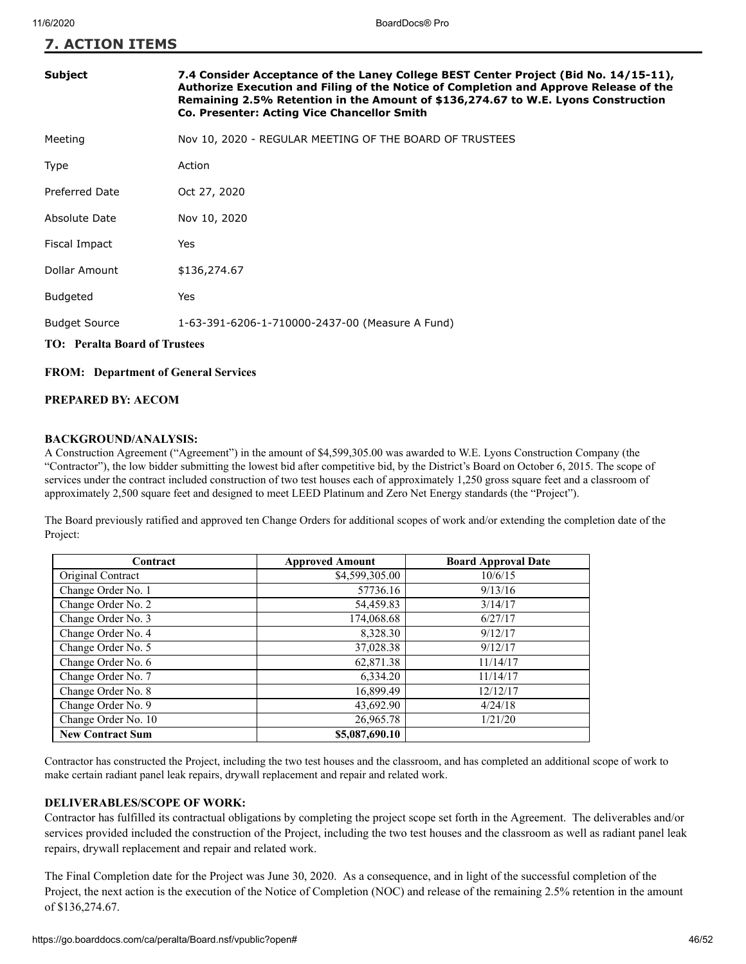**7. ACTION ITEMS**

| <b>Subject</b>                       | 7.4 Consider Acceptance of the Laney College BEST Center Project (Bid No. 14/15-11),<br>Authorize Execution and Filing of the Notice of Completion and Approve Release of the<br>Remaining 2.5% Retention in the Amount of \$136,274.67 to W.E. Lyons Construction<br>Co. Presenter: Acting Vice Chancellor Smith |  |
|--------------------------------------|-------------------------------------------------------------------------------------------------------------------------------------------------------------------------------------------------------------------------------------------------------------------------------------------------------------------|--|
| Meeting                              | Nov 10, 2020 - REGULAR MEETING OF THE BOARD OF TRUSTEES                                                                                                                                                                                                                                                           |  |
| Type                                 | Action                                                                                                                                                                                                                                                                                                            |  |
| <b>Preferred Date</b>                | Oct 27, 2020                                                                                                                                                                                                                                                                                                      |  |
| Absolute Date                        | Nov 10, 2020                                                                                                                                                                                                                                                                                                      |  |
| Fiscal Impact                        | Yes                                                                                                                                                                                                                                                                                                               |  |
| Dollar Amount                        | \$136,274.67                                                                                                                                                                                                                                                                                                      |  |
| <b>Budgeted</b>                      | Yes                                                                                                                                                                                                                                                                                                               |  |
| <b>Budget Source</b>                 | 1-63-391-6206-1-710000-2437-00 (Measure A Fund)                                                                                                                                                                                                                                                                   |  |
| <b>TO: Peralta Board of Trustees</b> |                                                                                                                                                                                                                                                                                                                   |  |

#### **FROM: Department of General Services**

#### **PREPARED BY: AECOM**

#### **BACKGROUND/ANALYSIS:**

A Construction Agreement ("Agreement") in the amount of \$4,599,305.00 was awarded to W.E. Lyons Construction Company (the "Contractor"), the low bidder submitting the lowest bid after competitive bid, by the District's Board on October 6, 2015. The scope of services under the contract included construction of two test houses each of approximately 1,250 gross square feet and a classroom of approximately 2,500 square feet and designed to meet LEED Platinum and Zero Net Energy standards (the "Project").

The Board previously ratified and approved ten Change Orders for additional scopes of work and/or extending the completion date of the Project:

| Contract                | <b>Approved Amount</b> | <b>Board Approval Date</b> |
|-------------------------|------------------------|----------------------------|
| Original Contract       | \$4,599,305.00         | 10/6/15                    |
| Change Order No. 1      | 57736.16               | 9/13/16                    |
| Change Order No. 2      | 54,459.83              | 3/14/17                    |
| Change Order No. 3      | 174,068.68             | 6/27/17                    |
| Change Order No. 4      | 8,328.30               | 9/12/17                    |
| Change Order No. 5      | 37,028.38              | 9/12/17                    |
| Change Order No. 6      | 62,871.38              | 11/14/17                   |
| Change Order No. 7      | 6,334.20               | 11/14/17                   |
| Change Order No. 8      | 16,899.49              | 12/12/17                   |
| Change Order No. 9      | 43,692.90              | 4/24/18                    |
| Change Order No. 10     | 26,965.78              | 1/21/20                    |
| <b>New Contract Sum</b> | \$5,087,690.10         |                            |

Contractor has constructed the Project, including the two test houses and the classroom, and has completed an additional scope of work to make certain radiant panel leak repairs, drywall replacement and repair and related work.

#### **DELIVERABLES/SCOPE OF WORK:**

Contractor has fulfilled its contractual obligations by completing the project scope set forth in the Agreement. The deliverables and/or services provided included the construction of the Project, including the two test houses and the classroom as well as radiant panel leak repairs, drywall replacement and repair and related work.

The Final Completion date for the Project was June 30, 2020. As a consequence, and in light of the successful completion of the Project, the next action is the execution of the Notice of Completion (NOC) and release of the remaining 2.5% retention in the amount of \$136,274.67.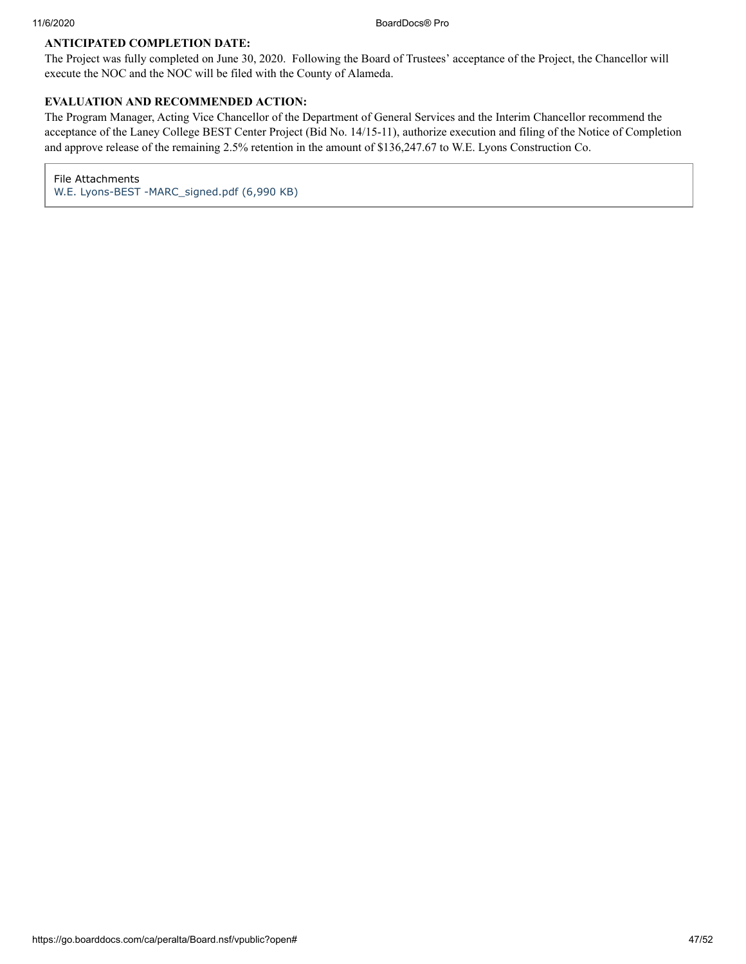#### **ANTICIPATED COMPLETION DATE:**

The Project was fully completed on June 30, 2020. Following the Board of Trustees' acceptance of the Project, the Chancellor will execute the NOC and the NOC will be filed with the County of Alameda.

#### **EVALUATION AND RECOMMENDED ACTION:**

The Program Manager, Acting Vice Chancellor of the Department of General Services and the Interim Chancellor recommend the acceptance of the Laney College BEST Center Project (Bid No. 14/15-11), authorize execution and filing of the Notice of Completion and approve release of the remaining 2.5% retention in the amount of \$136,247.67 to W.E. Lyons Construction Co.

File Attachments [W.E. Lyons-BEST -MARC\\_signed.pdf \(6,990 KB\)](https://go.boarddocs.com/ca/peralta/Board.nsf/files/BUTT85761424/$file/W.E.%20Lyons-BEST%20-MARC_signed.pdf)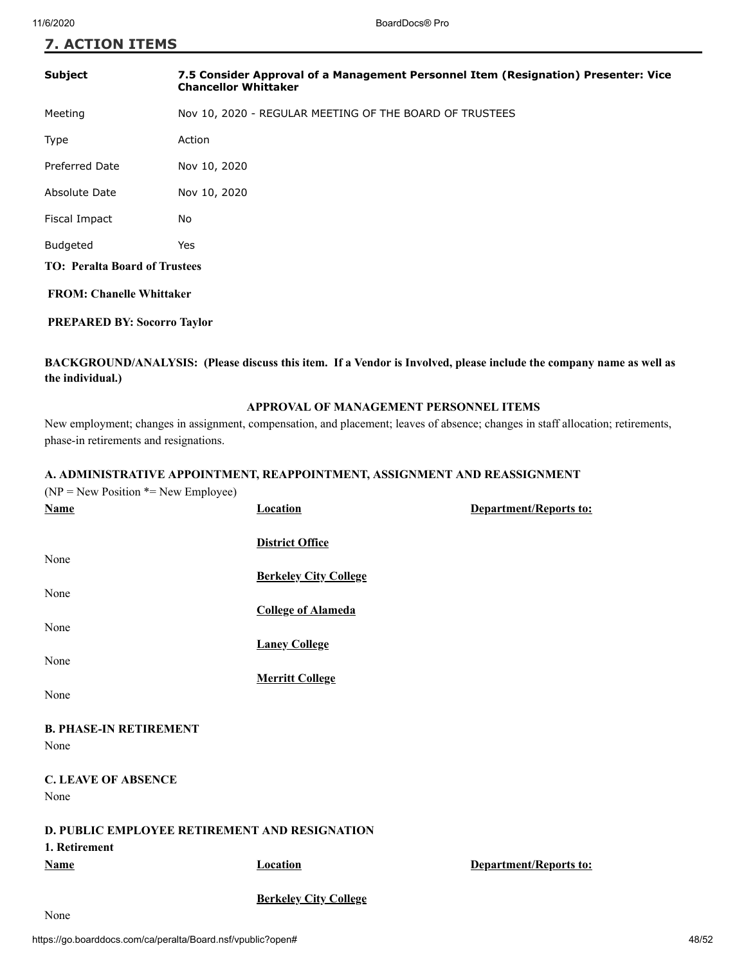# **7. ACTION ITEMS**

| <b>Subject</b>                       | 7.5 Consider Approval of a Management Personnel Item (Resignation) Presenter: Vice<br><b>Chancellor Whittaker</b> |  |
|--------------------------------------|-------------------------------------------------------------------------------------------------------------------|--|
| Meeting                              | Nov 10, 2020 - REGULAR MEETING OF THE BOARD OF TRUSTEES                                                           |  |
| Type                                 | Action                                                                                                            |  |
| <b>Preferred Date</b>                | Nov 10, 2020                                                                                                      |  |
| Absolute Date                        | Nov 10, 2020                                                                                                      |  |
| Fiscal Impact                        | No                                                                                                                |  |
| <b>Budgeted</b>                      | Yes                                                                                                               |  |
| <b>TO: Peralta Board of Trustees</b> |                                                                                                                   |  |
| <b>FROM: Chanelle Whittaker</b>      |                                                                                                                   |  |

#### **PREPARED BY: Socorro Taylor**

#### **BACKGROUND/ANALYSIS: (Please discuss this item. If a Vendor is Involved, please include the company name as well as the individual.)**

#### **APPROVAL OF MANAGEMENT PERSONNEL ITEMS**

New employment; changes in assignment, compensation, and placement; leaves of absence; changes in staff allocation; retirements, phase-in retirements and resignations.

#### **A. ADMINISTRATIVE APPOINTMENT, REAPPOINTMENT, ASSIGNMENT AND REASSIGNMENT**

| $(NP = New Position * = New Employee)$        |                              |                               |
|-----------------------------------------------|------------------------------|-------------------------------|
| <b>Name</b>                                   | <b>Location</b>              | <b>Department/Reports to:</b> |
|                                               |                              |                               |
|                                               | <b>District Office</b>       |                               |
| None                                          |                              |                               |
|                                               | <b>Berkeley City College</b> |                               |
| None                                          |                              |                               |
|                                               | <b>College of Alameda</b>    |                               |
| None                                          |                              |                               |
|                                               | <b>Laney College</b>         |                               |
| None                                          |                              |                               |
|                                               | <b>Merritt College</b>       |                               |
| None                                          |                              |                               |
| <b>B. PHASE-IN RETIREMENT</b>                 |                              |                               |
| None                                          |                              |                               |
|                                               |                              |                               |
| <b>C. LEAVE OF ABSENCE</b>                    |                              |                               |
| None                                          |                              |                               |
|                                               |                              |                               |
| D. PUBLIC EMPLOYEE RETIREMENT AND RESIGNATION |                              |                               |
| 1. Retirement                                 |                              |                               |
| <b>Name</b>                                   | <b>Location</b>              | <b>Department/Reports to:</b> |
|                                               |                              |                               |
|                                               | <b>Berkeley City College</b> |                               |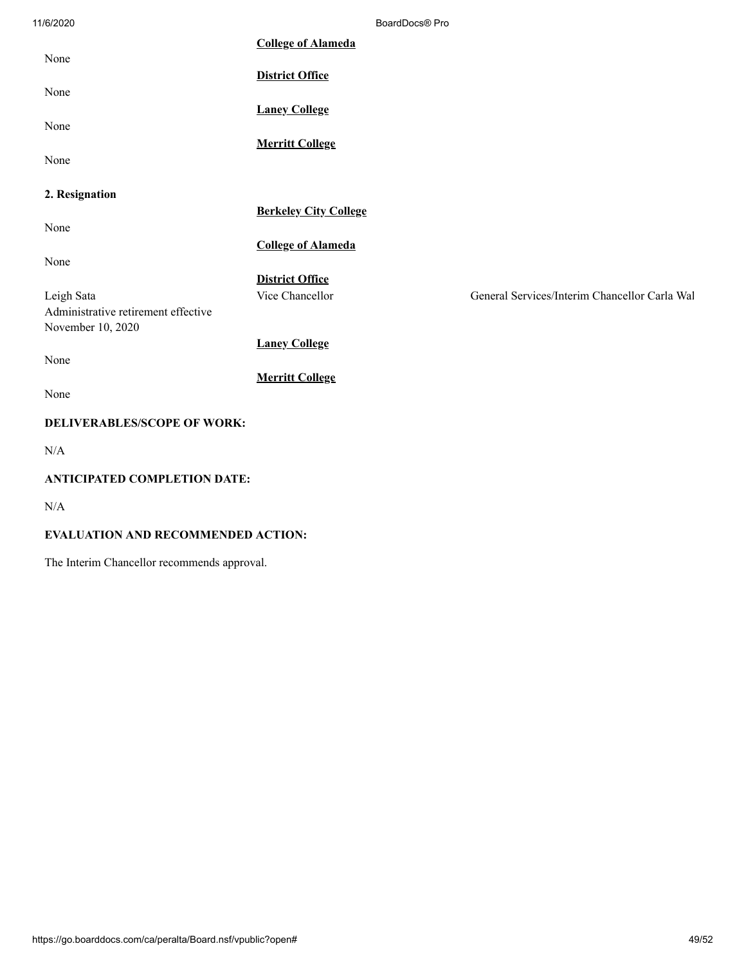| 11/6/2020                                                | BoardDocs® Pro               |                                               |
|----------------------------------------------------------|------------------------------|-----------------------------------------------|
| None                                                     | <b>College of Alameda</b>    |                                               |
|                                                          | <b>District Office</b>       |                                               |
| None                                                     | <b>Laney College</b>         |                                               |
| None                                                     | <b>Merritt College</b>       |                                               |
| None                                                     |                              |                                               |
| 2. Resignation                                           |                              |                                               |
| None                                                     | <b>Berkeley City College</b> |                                               |
| None                                                     | <b>College of Alameda</b>    |                                               |
|                                                          | <b>District Office</b>       |                                               |
| Leigh Sata                                               | Vice Chancellor              | General Services/Interim Chancellor Carla Wal |
| Administrative retirement effective<br>November 10, 2020 |                              |                                               |
| None                                                     | <b>Laney College</b>         |                                               |
|                                                          | <b>Merritt College</b>       |                                               |
| None                                                     |                              |                                               |
| <b>DELIVERABLES/SCOPE OF WORK:</b>                       |                              |                                               |
| N/A                                                      |                              |                                               |
| <b>ANTICIPATED COMPLETION DATE:</b>                      |                              |                                               |
| N/A                                                      |                              |                                               |

#### **EVALUATION AND RECOMMENDED ACTION:**

The Interim Chancellor recommends approval.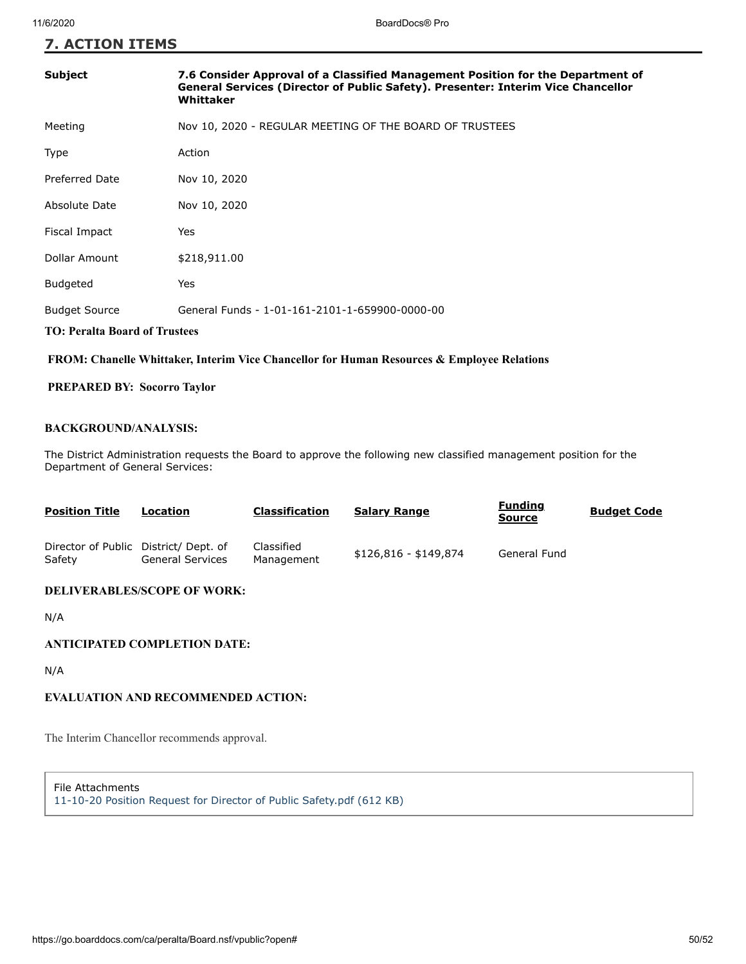#### **7. ACTION ITEMS**

# **TO: Peralta Board of Trustees Subject 7.6 Consider Approval of a Classified Management Position for the Department of General Services (Director of Public Safety). Presenter: Interim Vice Chancellor Whittaker** Meeting Nov 10, 2020 - REGULAR MEETING OF THE BOARD OF TRUSTEES Type Action Preferred Date Nov 10, 2020 Absolute Date Nov 10, 2020 Fiscal Impact Yes Dollar Amount \$218,911.00 Budgeted Yes Budget Source General Funds - 1-01-161-2101-1-659900-0000-00

#### **FROM: Chanelle Whittaker, Interim Vice Chancellor for Human Resources & Employee Relations**

#### **PREPARED BY: Socorro Taylor**

#### **BACKGROUND/ANALYSIS:**

The District Administration requests the Board to approve the following new classified management position for the Department of General Services:

| <b>Position Title</b>                          | Location                | <b>Classification</b>    | <b>Salary Range</b>   | <b>Funding</b><br><b>Source</b> | <b>Budget Code</b> |
|------------------------------------------------|-------------------------|--------------------------|-----------------------|---------------------------------|--------------------|
| Director of Public District/Dept. of<br>Safety | <b>General Services</b> | Classified<br>Management | \$126,816 - \$149,874 | General Fund                    |                    |

#### **DELIVERABLES/SCOPE OF WORK:**

N/A

#### **ANTICIPATED COMPLETION DATE:**

N/A

#### **EVALUATION AND RECOMMENDED ACTION:**

The Interim Chancellor recommends approval.

File Attachments

[11-10-20 Position Request for Director of Public Safety.pdf \(612 KB\)](https://go.boarddocs.com/ca/peralta/Board.nsf/files/BUYW5K83C3F9/$file/11-10-20%20Position%20Request%20for%20Director%20of%20Public%20Safety.pdf)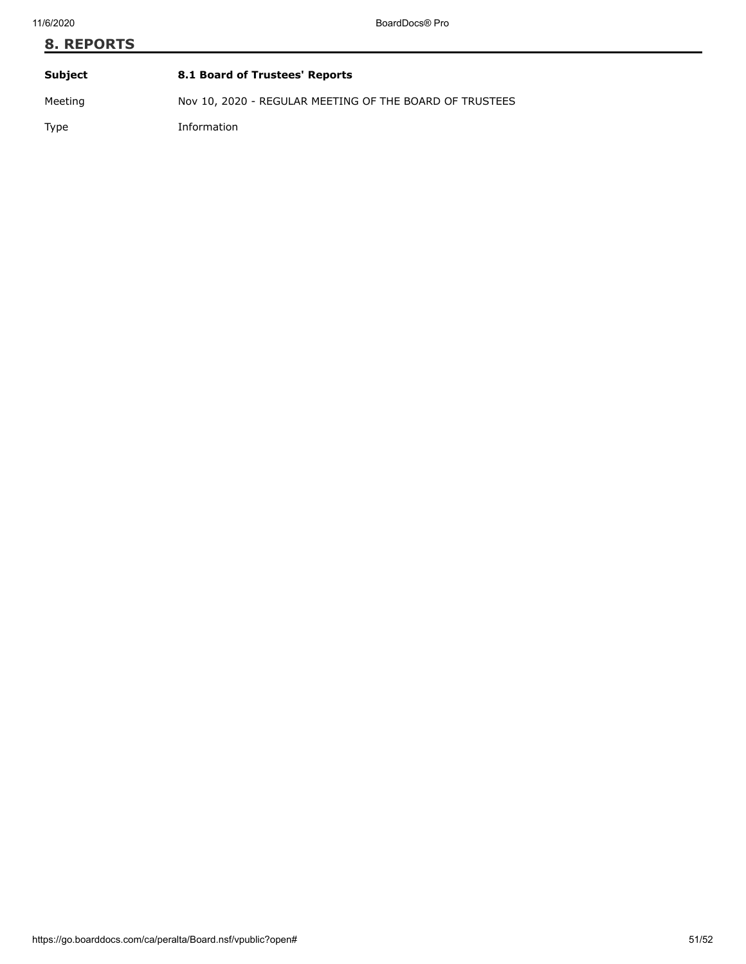# **8. REPORTS Subject 8.1 Board of Trustees' Reports** Meeting Nov 10, 2020 - REGULAR MEETING OF THE BOARD OF TRUSTEES

Type Information